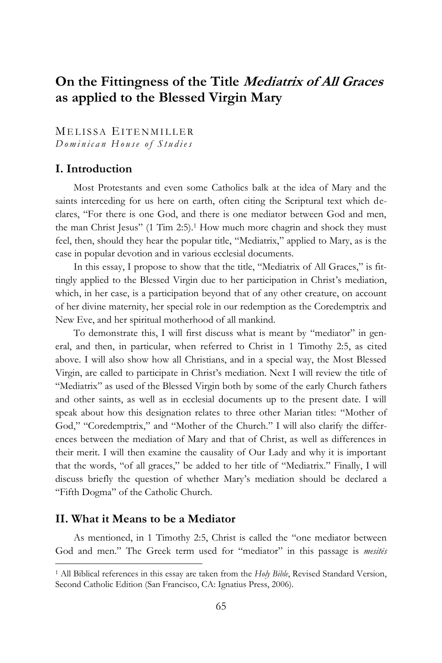# **On the Fittingness of the Title Mediatrix of All Graces as applied to the Blessed Virgin Mary**

MELISSA EITENMILLER *D o m i n i c a n H o u s e o f S t u d i e s*

## **I. Introduction**

Most Protestants and even some Catholics balk at the idea of Mary and the saints interceding for us here on earth, often citing the Scriptural text which declares, "For there is one God, and there is one mediator between God and men, the man Christ Jesus" (1 Tim 2:5). <sup>1</sup> How much more chagrin and shock they must feel, then, should they hear the popular title, "Mediatrix," applied to Mary, as is the case in popular devotion and in various ecclesial documents.

In this essay, I propose to show that the title, "Mediatrix of All Graces," is fittingly applied to the Blessed Virgin due to her participation in Christ's mediation, which, in her case, is a participation beyond that of any other creature, on account of her divine maternity, her special role in our redemption as the Coredemptrix and New Eve, and her spiritual motherhood of all mankind.

To demonstrate this, I will first discuss what is meant by "mediator" in general, and then, in particular, when referred to Christ in 1 Timothy 2:5, as cited above. I will also show how all Christians, and in a special way, the Most Blessed Virgin, are called to participate in Christ's mediation. Next I will review the title of "Mediatrix" as used of the Blessed Virgin both by some of the early Church fathers and other saints, as well as in ecclesial documents up to the present date. I will speak about how this designation relates to three other Marian titles: "Mother of God," "Coredemptrix," and "Mother of the Church." I will also clarify the differences between the mediation of Mary and that of Christ, as well as differences in their merit. I will then examine the causality of Our Lady and why it is important that the words, "of all graces," be added to her title of "Mediatrix." Finally, I will discuss briefly the question of whether Mary's mediation should be declared a "Fifth Dogma" of the Catholic Church.

## **II. What it Means to be a Mediator**

 $\overline{a}$ 

As mentioned, in 1 Timothy 2:5, Christ is called the "one mediator between God and men." The Greek term used for "mediator" in this passage is *mesitēs*

<sup>1</sup> All Biblical references in this essay are taken from the *Holy Bible*, Revised Standard Version, Second Catholic Edition (San Francisco, CA: Ignatius Press, 2006).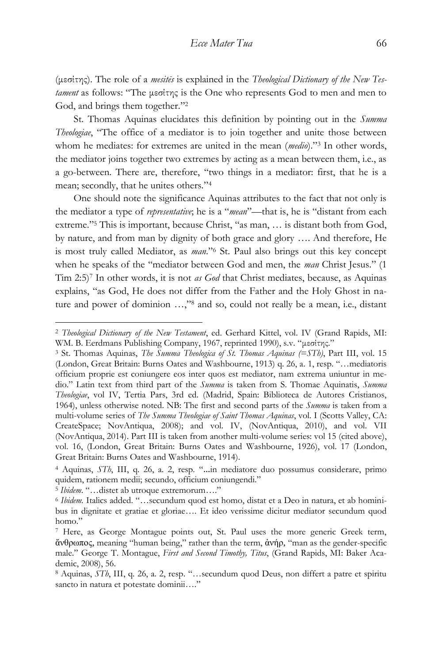(μεσίτης). The role of a *mesitēs* is explained in the *Theological Dictionary of the New Testament* as follows: "The μεσίτης is the One who represents God to men and men to God, and brings them together." 2

St. Thomas Aquinas elucidates this definition by pointing out in the *Summa Theologiae*, "The office of a mediator is to join together and unite those between whom he mediates: for extremes are united in the mean (*medio*)." <sup>3</sup> In other words, the mediator joins together two extremes by acting as a mean between them, i.e., as a go-between. There are, therefore, "two things in a mediator: first, that he is a mean; secondly, that he unites others." 4

One should note the significance Aquinas attributes to the fact that not only is the mediator a type of *representative*; he is a "*mean*"—that is, he is "distant from each extreme." <sup>5</sup> This is important, because Christ, "as man, … is distant both from God, by nature, and from man by dignity of both grace and glory …. And therefore, He is most truly called Mediator, as *man*." <sup>6</sup> St. Paul also brings out this key concept when he speaks of the "mediator between God and men, the *man* Christ Jesus." (1 Tim 2:5)<sup>7</sup> In other words, it is not *as God* that Christ mediates, because, as Aquinas explains, "as God, He does not differ from the Father and the Holy Ghost in nature and power of dominion …," <sup>8</sup> and so, could not really be a mean, i.e., distant

<sup>2</sup> *Theological Dictionary of the New Testament*, ed. Gerhard Kittel, vol. IV (Grand Rapids, MI: WM. B. Eerdmans Publishing Company, 1967, reprinted 1990), s.v. "μεσίτης."

<sup>3</sup> St. Thomas Aquinas, *The Summa Theologica of St. Thomas Aquinas (=STh)*, Part III, vol. 15 (London, Great Britain: Burns Oates and Washbourne, 1913) q. 26, a. 1, resp. "…mediatoris officium proprie est coniungere eos inter quos est mediator, nam extrema uniuntur in medio." Latin text from third part of the *Summa* is taken from S. Thomae Aquinatis, *Summa Theologiae*, vol IV, Tertia Pars, 3rd ed. (Madrid, Spain: Biblioteca de Autores Cristianos, 1964), unless otherwise noted. NB: The first and second parts of the *Summa* is taken from a multi-volume series of *The Summa Theologiae of Saint Thomas Aquinas*, vol. I (Scotts Valley, CA: CreateSpace; NovAntiqua, 2008); and vol. IV, (NovAntiqua, 2010), and vol. VII (NovAntiqua, 2014). Part III is taken from another multi-volume series: vol 15 (cited above), vol. 16, (London, Great Britain: Burns Oates and Washbourne, 1926), vol. 17 (London, Great Britain: Burns Oates and Washbourne, 1914).

<sup>4</sup> Aquinas, *STh*, III, q. 26, a. 2, resp. "…in mediatore duo possumus considerare, primo quidem, rationem medii; secundo, officium coniungendi."

<sup>5</sup> *Ibidem*. "…distet ab utroque extremorum…."

<sup>6</sup> *Ibidem.* Italics added. "…secundum quod est homo, distat et a Deo in natura, et ab hominibus in dignitate et gratiae et gloriae…. Et ideo verissime dicitur mediator secundum quod homo."

<sup>7</sup> Here, as George Montague points out, St. Paul uses the more generic Greek term, ἄνθρωπος, meaning "human being," rather than the term, ἀνήρ, "man as the gender-specific male." George T. Montague, *First and Second Timothy, Titus*, (Grand Rapids, MI: Baker Academic, 2008), 56.

<sup>8</sup> Aquinas, *STh*, III, q. 26, a. 2, resp. "…secundum quod Deus, non differt a patre et spiritu sancto in natura et potestate dominii...."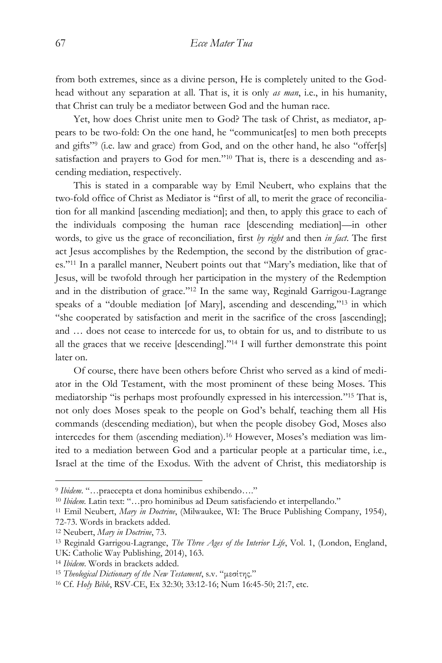from both extremes, since as a divine person, He is completely united to the Godhead without any separation at all. That is, it is only *as man*, i.e., in his humanity, that Christ can truly be a mediator between God and the human race.

Yet, how does Christ unite men to God? The task of Christ, as mediator, appears to be two-fold: On the one hand, he "communicat[es] to men both precepts and gifts" 9 (i.e. law and grace) from God, and on the other hand, he also "offer[s] satisfaction and prayers to God for men."<sup>10</sup> That is, there is a descending and ascending mediation, respectively.

This is stated in a comparable way by Emil Neubert, who explains that the two-fold office of Christ as Mediator is "first of all, to merit the grace of reconciliation for all mankind [ascending mediation]; and then, to apply this grace to each of the individuals composing the human race [descending mediation]—in other words, to give us the grace of reconciliation, first *by right* and then *in fact*. The first act Jesus accomplishes by the Redemption, the second by the distribution of graces." <sup>11</sup> In a parallel manner, Neubert points out that "Mary's mediation, like that of Jesus, will be twofold through her participation in the mystery of the Redemption and in the distribution of grace." <sup>12</sup> In the same way, Reginald Garrigou-Lagrange speaks of a "double mediation [of Mary], ascending and descending," <sup>13</sup> in which "she cooperated by satisfaction and merit in the sacrifice of the cross [ascending]; and … does not cease to intercede for us, to obtain for us, and to distribute to us all the graces that we receive [descending]." <sup>14</sup> I will further demonstrate this point later on.

Of course, there have been others before Christ who served as a kind of mediator in the Old Testament, with the most prominent of these being Moses. This mediatorship "is perhaps most profoundly expressed in his intercession." <sup>15</sup> That is, not only does Moses speak to the people on God's behalf, teaching them all His commands (descending mediation), but when the people disobey God, Moses also intercedes for them (ascending mediation).<sup>16</sup> However, Moses's mediation was limited to a mediation between God and a particular people at a particular time, i.e., Israel at the time of the Exodus. With the advent of Christ, this mediatorship is

<sup>9</sup> *Ibidem*. "…praecepta et dona hominibus exhibendo…."

<sup>10</sup> *Ibidem.* Latin text: "…pro hominibus ad Deum satisfaciendo et interpellando."

<sup>11</sup> Emil Neubert, *Mary in Doctrine*, (Milwaukee, WI: The Bruce Publishing Company, 1954), 72-73. Words in brackets added.

<sup>12</sup> Neubert, *Mary in Doctrine*, 73.

<sup>13</sup> Reginald Garrigou-Lagrange, *The Three Ages of the Interior Life*, Vol. 1, (London, England, UK: Catholic Way Publishing, 2014), 163.

<sup>14</sup> *Ibidem*. Words in brackets added.

<sup>15</sup> *Theological Dictionary of the New Testament*, s.v. "μεσίτης."

<sup>16</sup> Cf. *Holy Bible*, RSV-CE, Ex 32:30; 33:12-16; Num 16:45-50; 21:7, etc.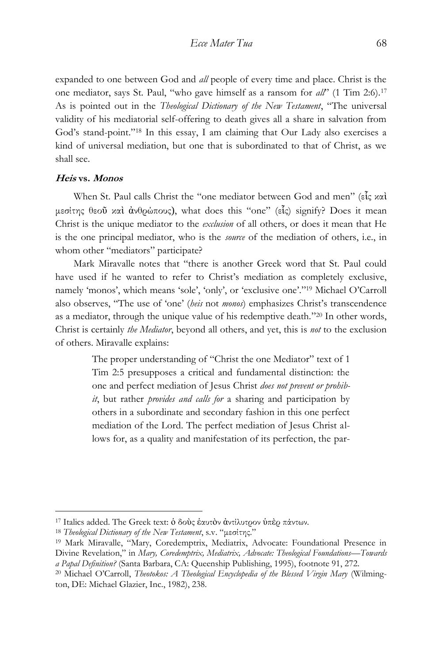expanded to one between God and *all* people of every time and place. Christ is the one mediator, says St. Paul, "who gave himself as a ransom for *all*" (1 Tim 2:6).<sup>17</sup> As is pointed out in the *Theological Dictionary of the New Testament*, "The universal validity of his mediatorial self-offering to death gives all a share in salvation from God's stand-point." <sup>18</sup> In this essay, I am claiming that Our Lady also exercises a kind of universal mediation, but one that is subordinated to that of Christ, as we shall see.

#### **Heis vs. Monos**

 $\overline{a}$ 

When St. Paul calls Christ the "one mediator between God and men" (εἷς καὶ μεσίτης θεοῦ καὶ ἀνθρώπους), what does this "one" (εἷς) signify? Does it mean Christ is the unique mediator to the *exclusion* of all others, or does it mean that He is the one principal mediator, who is the *source* of the mediation of others, i.e., in whom other "mediators" participate?

Mark Miravalle notes that "there is another Greek word that St. Paul could have used if he wanted to refer to Christ's mediation as completely exclusive, namely 'monos', which means 'sole', 'only', or 'exclusive one'." <sup>19</sup> Michael O'Carroll also observes, "The use of 'one' (*heis* not *monos*) emphasizes Christ's transcendence as a mediator, through the unique value of his redemptive death." <sup>20</sup> In other words, Christ is certainly *the Mediator*, beyond all others, and yet, this is *not* to the exclusion of others. Miravalle explains:

> The proper understanding of "Christ the one Mediator" text of 1 Tim 2:5 presupposes a critical and fundamental distinction: the one and perfect mediation of Jesus Christ *does not prevent or prohibit*, but rather *provides and calls for* a sharing and participation by others in a subordinate and secondary fashion in this one perfect mediation of the Lord. The perfect mediation of Jesus Christ allows for, as a quality and manifestation of its perfection, the par-

<sup>17</sup> Italics added. The Greek text: ὁ δοὺς ἑαυτὸν ἀντίλυτρον ὑπὲρ πάντων.

<sup>18</sup> *Theological Dictionary of the New Testament*, s.v. "μεσίτης."

<sup>19</sup> Mark Miravalle, "Mary, Coredemptrix, Mediatrix, Advocate: Foundational Presence in Divine Revelation," in *Mary, Coredemptrix, Mediatrix, Advocate: Theological Foundations—Towards a Papal Definition?* (Santa Barbara, CA: Queenship Publishing, 1995), footnote 91, 272.

<sup>20</sup> Michael O'Carroll, *Theotokos: A Theological Encyclopedia of the Blessed Virgin Mary* (Wilmington, DE: Michael Glazier, Inc., 1982), 238.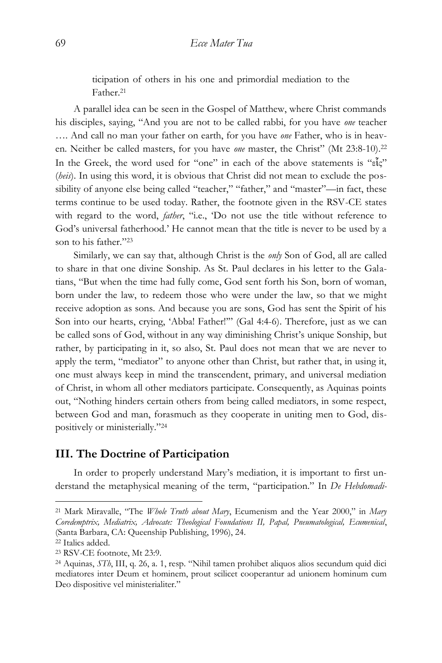ticipation of others in his one and primordial mediation to the Father.<sup>21</sup>

A parallel idea can be seen in the Gospel of Matthew, where Christ commands his disciples, saying, "And you are not to be called rabbi, for you have *one* teacher …. And call no man your father on earth, for you have *one* Father, who is in heaven. Neither be called masters, for you have *one* master, the Christ" (Mt 23:8-10).<sup>22</sup> In the Greek, the word used for "one" in each of the above statements is "εἷς" (*heis*). In using this word, it is obvious that Christ did not mean to exclude the possibility of anyone else being called "teacher," "father," and "master"—in fact, these terms continue to be used today. Rather, the footnote given in the RSV-CE states with regard to the word, *father*, "i.e., 'Do not use the title without reference to God's universal fatherhood.' He cannot mean that the title is never to be used by a son to his father." 23

Similarly, we can say that, although Christ is the *only* Son of God, all are called to share in that one divine Sonship. As St. Paul declares in his letter to the Galatians, "But when the time had fully come, God sent forth his Son, born of woman, born under the law, to redeem those who were under the law, so that we might receive adoption as sons. And because you are sons, God has sent the Spirit of his Son into our hearts, crying, 'Abba! Father!'" (Gal 4:4-6). Therefore, just as we can be called sons of God, without in any way diminishing Christ's unique Sonship, but rather, by participating in it, so also, St. Paul does not mean that we are never to apply the term, "mediator" to anyone other than Christ, but rather that, in using it, one must always keep in mind the transcendent, primary, and universal mediation of Christ, in whom all other mediators participate. Consequently, as Aquinas points out, "Nothing hinders certain others from being called mediators, in some respect, between God and man, forasmuch as they cooperate in uniting men to God, dispositively or ministerially." 24

## **III. The Doctrine of Participation**

In order to properly understand Mary's mediation, it is important to first understand the metaphysical meaning of the term, "participation." In *De Hebdomadi-*

<sup>21</sup> Mark Miravalle, "The *Whole Truth about Mary*, Ecumenism and the Year 2000," in *Mary Coredemptrix, Mediatrix, Advocate: Theological Foundations II, Papal, Pneumatological, Ecumenical*, (Santa Barbara, CA: Queenship Publishing, 1996), 24.

<sup>22</sup> Italics added.

<sup>23</sup> RSV-CE footnote, Mt 23:9.

<sup>24</sup> Aquinas, *STh*, III, q. 26, a. 1, resp. "Nihil tamen prohibet aliquos alios secundum quid dici mediatores inter Deum et hominem, prout scilicet cooperantur ad unionem hominum cum Deo dispositive vel ministerialiter."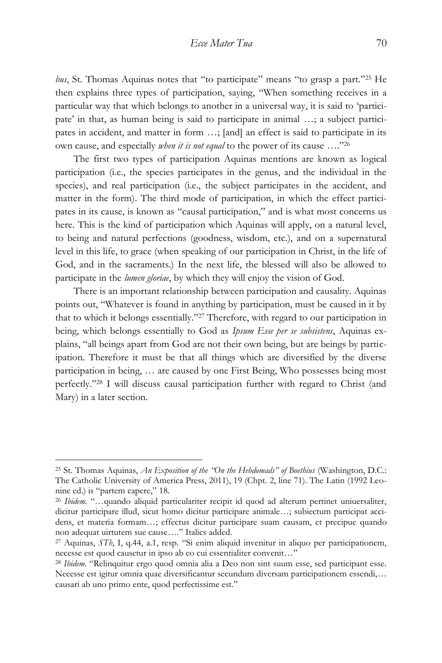bus, St. Thomas Aquinas notes that "to participate" means "to grasp a part."<sup>25</sup> He then explains three types of participation, saying, "When something receives in a particular way that which belongs to another in a universal way, it is said to 'participate' in that, as human being is said to participate in animal …; a subject participates in accident, and matter in form …; [and] an effect is said to participate in its own cause, and especially *when it is not equal* to the power of its cause …." 26

The first two types of participation Aquinas mentions are known as logical participation (i.e., the species participates in the genus, and the individual in the species), and real participation (i.e., the subject participates in the accident, and matter in the form). The third mode of participation, in which the effect participates in its cause, is known as "causal participation," and is what most concerns us here. This is the kind of participation which Aquinas will apply, on a natural level, to being and natural perfections (goodness, wisdom, etc.), and on a supernatural level in this life, to grace (when speaking of our participation in Christ, in the life of God, and in the sacraments.) In the next life, the blessed will also be allowed to participate in the *lumen gloriae*, by which they will enjoy the vision of God.

There is an important relationship between participation and causality. Aquinas points out, "Whatever is found in anything by participation, must be caused in it by that to which it belongs essentially." <sup>27</sup> Therefore, with regard to our participation in being, which belongs essentially to God as *Ipsum Esse per se subsistens*, Aquinas explains, "all beings apart from God are not their own being, but are beings by participation. Therefore it must be that all things which are diversified by the diverse participation in being, … are caused by one First Being, Who possesses being most perfectly." <sup>28</sup> I will discuss causal participation further with regard to Christ (and Mary) in a later section.

<sup>25</sup> St. Thomas Aquinas, *An Exposition of the "On the Hebdomads" of Boethius* (Washington, D.C.: The Catholic University of America Press, 2011), 19 (Chpt. 2, line 71). The Latin (1992 Leonine ed.) is "partem capere," 18.

<sup>26</sup> *Ibidem.* "…quando aliquid particulariter recipit id quod ad alterum pertinet uniuersaliter, dicitur participare illud, sicut homo dicitur participare animale…; subiectum participat accidens, et materia formam…; effectus dicitur participare suam causam, et precipue quando non adequat uirtutem sue cause…." Italics added.

<sup>27</sup> Aquinas, *STh*, I, q.44, a.1, resp. "Si enim aliquid invenitur in aliquo per participationem, necesse est quod causetur in ipso ab eo cui essentialiter convenit…"

<sup>28</sup> *Ibidem*. "Relinquitur ergo quod omnia alia a Deo non sint suum esse, sed participant esse. Necesse est igitur omnia quae diversificantur secundum diversam participationem essendi,… causari ab uno primo ente, quod perfectissime est."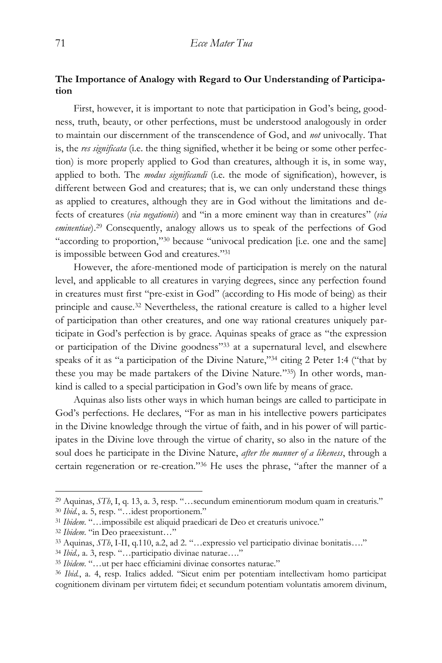## **The Importance of Analogy with Regard to Our Understanding of Participation**

First, however, it is important to note that participation in God's being, goodness, truth, beauty, or other perfections, must be understood analogously in order to maintain our discernment of the transcendence of God, and *not* univocally. That is, the *res significata* (i.e. the thing signified, whether it be being or some other perfection) is more properly applied to God than creatures, although it is, in some way, applied to both. The *modus significandi* (i.e. the mode of signification), however, is different between God and creatures; that is, we can only understand these things as applied to creatures, although they are in God without the limitations and defects of creatures (*via negationis*) and "in a more eminent way than in creatures" (*via eminentiae*).<sup>29</sup> Consequently, analogy allows us to speak of the perfections of God "according to proportion,"<sup>30</sup> because "univocal predication [i.e. one and the same] is impossible between God and creatures." 31

However, the afore-mentioned mode of participation is merely on the natural level, and applicable to all creatures in varying degrees, since any perfection found in creatures must first "pre-exist in God" (according to His mode of being) as their principle and cause.<sup>32</sup> Nevertheless, the rational creature is called to a higher level of participation than other creatures, and one way rational creatures uniquely participate in God's perfection is by grace. Aquinas speaks of grace as "the expression or participation of the Divine goodness" <sup>33</sup> at a supernatural level, and elsewhere speaks of it as "a participation of the Divine Nature," <sup>34</sup> citing 2 Peter 1:4 ("that by these you may be made partakers of the Divine Nature." 35) In other words, mankind is called to a special participation in God's own life by means of grace.

Aquinas also lists other ways in which human beings are called to participate in God's perfections. He declares, "For as man in his intellective powers participates in the Divine knowledge through the virtue of faith, and in his power of will participates in the Divine love through the virtue of charity, so also in the nature of the soul does he participate in the Divine Nature, *after the manner of a likeness*, through a certain regeneration or re-creation." <sup>36</sup> He uses the phrase, "after the manner of a

<sup>29</sup> Aquinas, *STh*, I, q. 13, a. 3, resp. "…secundum eminentiorum modum quam in creaturis." <sup>30</sup> *Ibid.*, a. 5, resp. "…idest proportionem."

<sup>31</sup> *Ibidem*. "…impossibile est aliquid praedicari de Deo et creaturis univoce."

<sup>32</sup> *Ibidem*. "in Deo praeexistunt…"

<sup>33</sup> Aquinas, *STh*, I-II, q.110, a.2, ad 2. "…expressio vel participatio divinae bonitatis…."

<sup>34</sup> *Ibid*.*,* a. 3, resp. "…participatio divinae naturae…."

<sup>35</sup> *Ibidem*. "…ut per haec efficiamini divinae consortes naturae."

<sup>36</sup> *Ibid.*, a. 4, resp. Italics added. "Sicut enim per potentiam intellectivam homo participat cognitionem divinam per virtutem fidei; et secundum potentiam voluntatis amorem divinum,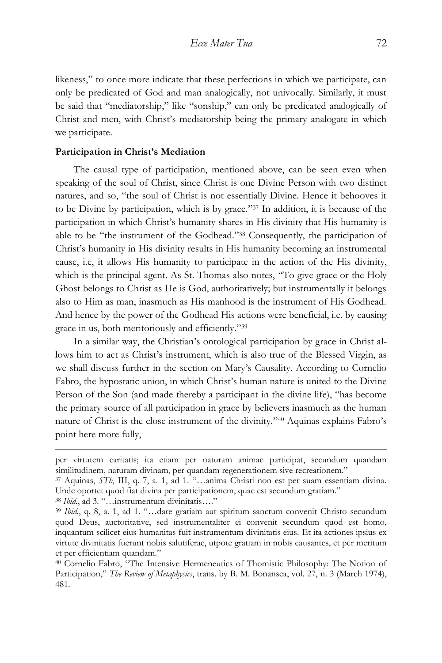likeness," to once more indicate that these perfections in which we participate, can only be predicated of God and man analogically, not univocally. Similarly, it must be said that "mediatorship," like "sonship," can only be predicated analogically of Christ and men, with Christ's mediatorship being the primary analogate in which we participate.

#### **Participation in Christ's Mediation**

The causal type of participation, mentioned above, can be seen even when speaking of the soul of Christ, since Christ is one Divine Person with two distinct natures, and so, "the soul of Christ is not essentially Divine. Hence it behooves it to be Divine by participation, which is by grace." <sup>37</sup> In addition, it is because of the participation in which Christ's humanity shares in His divinity that His humanity is able to be "the instrument of the Godhead." <sup>38</sup> Consequently, the participation of Christ's humanity in His divinity results in His humanity becoming an instrumental cause, i.e, it allows His humanity to participate in the action of the His divinity, which is the principal agent. As St. Thomas also notes, "To give grace or the Holy Ghost belongs to Christ as He is God, authoritatively; but instrumentally it belongs also to Him as man, inasmuch as His manhood is the instrument of His Godhead. And hence by the power of the Godhead His actions were beneficial, i.e. by causing grace in us, both meritoriously and efficiently." 39

In a similar way, the Christian's ontological participation by grace in Christ allows him to act as Christ's instrument, which is also true of the Blessed Virgin, as we shall discuss further in the section on Mary's Causality. According to Cornelio Fabro, the hypostatic union, in which Christ's human nature is united to the Divine Person of the Son (and made thereby a participant in the divine life), "has become the primary source of all participation in grace by believers inasmuch as the human nature of Christ is the close instrument of the divinity." <sup>40</sup> Aquinas explains Fabro's point here more fully,

per virtutem caritatis; ita etiam per naturam animae participat, secundum quandam similitudinem, naturam divinam, per quandam regenerationem sive recreationem."

<sup>37</sup> Aquinas, *STh*, III, q. 7, a. 1, ad 1. "…anima Christi non est per suam essentiam divina. Unde oportet quod fiat divina per participationem, quae est secundum gratiam."

<sup>38</sup> *Ibid.*, ad 3. "…instrumentum divinitatis…."

<sup>39</sup> *Ibid.*, q. 8, a. 1, ad 1. "…dare gratiam aut spiritum sanctum convenit Christo secundum quod Deus, auctoritative, sed instrumentaliter ei convenit secundum quod est homo, inquantum scilicet eius humanitas fuit instrumentum divinitatis eius. Et ita actiones ipsius ex virtute divinitatis fuerunt nobis salutiferae, utpote gratiam in nobis causantes, et per meritum et per efficientiam quandam."

<sup>40</sup> Cornelio Fabro, "The Intensive Hermeneutics of Thomistic Philosophy: The Notion of Participation," *The Review of Metaphysics*, trans. by B. M. Bonansea, vol. 27, n. 3 (March 1974), 481.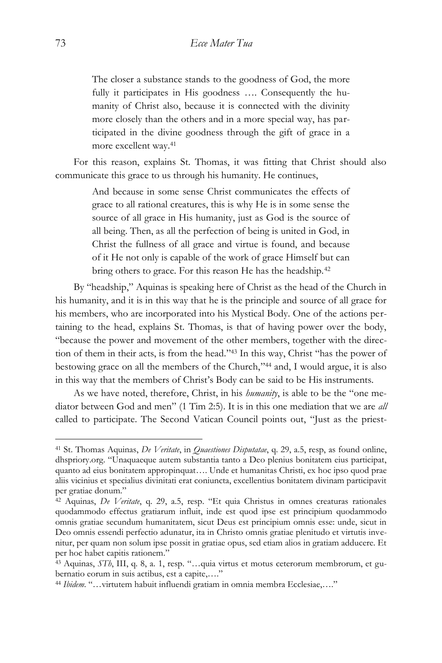The closer a substance stands to the goodness of God, the more fully it participates in His goodness …. Consequently the humanity of Christ also, because it is connected with the divinity more closely than the others and in a more special way, has participated in the divine goodness through the gift of grace in a more excellent way.<sup>41</sup>

For this reason, explains St. Thomas, it was fitting that Christ should also communicate this grace to us through his humanity. He continues,

> And because in some sense Christ communicates the effects of grace to all rational creatures, this is why He is in some sense the source of all grace in His humanity, just as God is the source of all being. Then, as all the perfection of being is united in God, in Christ the fullness of all grace and virtue is found, and because of it He not only is capable of the work of grace Himself but can bring others to grace. For this reason He has the headship.<sup>42</sup>

By "headship," Aquinas is speaking here of Christ as the head of the Church in his humanity, and it is in this way that he is the principle and source of all grace for his members, who are incorporated into his Mystical Body. One of the actions pertaining to the head, explains St. Thomas, is that of having power over the body, "because the power and movement of the other members, together with the direction of them in their acts, is from the head." <sup>43</sup> In this way, Christ "has the power of bestowing grace on all the members of the Church," <sup>44</sup> and, I would argue, it is also in this way that the members of Christ's Body can be said to be His instruments.

As we have noted, therefore, Christ, in his *humanity*, is able to be the "one mediator between God and men" (1 Tim 2:5). It is in this one mediation that we are *all* called to participate. The Second Vatican Council points out, "Just as the priest-

<sup>41</sup> St. Thomas Aquinas, *De Veritate*, in *Quaestiones Disputatae*, q. 29, a.5, resp, as found online, dhspriory.org. "Unaquaeque autem substantia tanto a Deo plenius bonitatem eius participat, quanto ad eius bonitatem appropinquat…. Unde et humanitas Christi, ex hoc ipso quod prae aliis vicinius et specialius divinitati erat coniuncta, excellentius bonitatem divinam participavit per gratiae donum."

<sup>42</sup> Aquinas, *De Veritate*, q. 29, a.5, resp. "Et quia Christus in omnes creaturas rationales quodammodo effectus gratiarum influit, inde est quod ipse est principium quodammodo omnis gratiae secundum humanitatem, sicut Deus est principium omnis esse: unde, sicut in Deo omnis essendi perfectio adunatur, ita in Christo omnis gratiae plenitudo et virtutis invenitur, per quam non solum ipse possit in gratiae opus, sed etiam alios in gratiam adducere. Et per hoc habet capitis rationem."

<sup>43</sup> Aquinas, *STh*, III, q. 8, a. 1, resp. "…quia virtus et motus ceterorum membrorum, et gubernatio eorum in suis actibus, est a capite,…."

<sup>44</sup> *Ibidem*. "…virtutem habuit influendi gratiam in omnia membra Ecclesiae,…."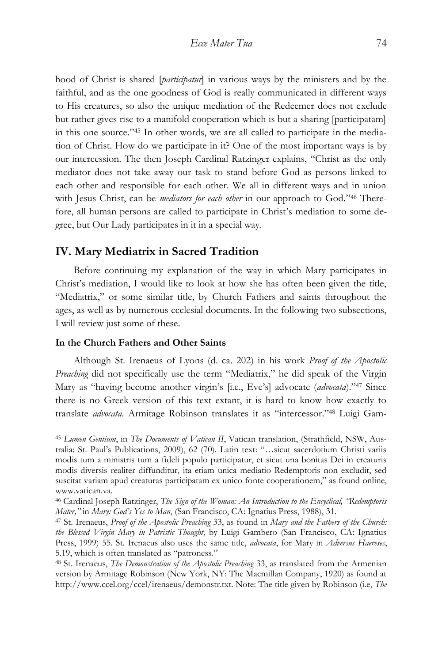hood of Christ is shared [*participatur*] in various ways by the ministers and by the faithful, and as the one goodness of God is really communicated in different ways to His creatures, so also the unique mediation of the Redeemer does not exclude but rather gives rise to a manifold cooperation which is but a sharing [participatam] in this one source." <sup>45</sup> In other words, we are all called to participate in the mediation of Christ. How do we participate in it? One of the most important ways is by our intercession. The then Joseph Cardinal Ratzinger explains, "Christ as the only mediator does not take away our task to stand before God as persons linked to each other and responsible for each other. We all in different ways and in union with Jesus Christ, can be *mediators for each other* in our approach to God." <sup>46</sup> Therefore, all human persons are called to participate in Christ's mediation to some degree, but Our Lady participates in it in a special way.

## **IV. Mary Mediatrix in Sacred Tradition**

Before continuing my explanation of the way in which Mary participates in Christ's mediation, I would like to look at how she has often been given the title, "Mediatrix," or some similar title, by Church Fathers and saints throughout the ages, as well as by numerous ecclesial documents. In the following two subsections, I will review just some of these.

#### **In the Church Fathers and Other Saints**

 $\overline{a}$ 

Although St. Irenaeus of Lyons (d. ca. 202) in his work *Proof of the Apostolic Preaching* did not specifically use the term "Mediatrix," he did speak of the Virgin Mary as "having become another virgin's [i.e., Eve's] advocate (*advocata*)." <sup>47</sup> Since there is no Greek version of this text extant, it is hard to know how exactly to translate *advocata*. Armitage Robinson translates it as "intercessor." <sup>48</sup> Luigi Gam-

<sup>45</sup> *Lumen Gentium*, in *The Documents of Vatican II*, Vatican translation, (Strathfield, NSW, Australia: St. Paul's Publications, 2009), 62 (70). Latin text: "…sicut sacerdotium Christi variis modis tum a ministris tum a fideli populo participatur, et sicut una bonitas Dei in creaturis modis diversis realiter diffunditur, ita etiam unica mediatio Redemptoris non excludit, sed suscitat variam apud creaturas participatam ex unico fonte cooperationem," as found online, www.vatican.va.

<sup>46</sup> Cardinal Joseph Ratzinger, *The Sign of the Woman: An Introduction to the Encyclical, "Redemptoris Mater,"* in *Mary: God's Yes to Man*, (San Francisco, CA: Ignatius Press, 1988), 31.

<sup>47</sup> St. Irenaeus, *Proof of the Apostolic Preaching* 33, as found in *Mary and the Fathers of the Church: the Blessed Virgin Mary in Patristic Thought*, by Luigi Gambero (San Francisco, CA: Ignatius Press, 1999) 55. St. Irenaeus also uses the same title, *advocata*, for Mary in *Adversus Haereses*, 5.19, which is often translated as "patroness."

<sup>48</sup> St. Irenaeus, *The Demonstration of the Apostolic Preaching* 33, as translated from the Armenian version by Armitage Robinson (New York, NY: The Macmillan Company, 1920) as found at http://www.ccel.org/ccel/irenaeus/demonstr.txt. Note: The title given by Robinson (i.e, *The*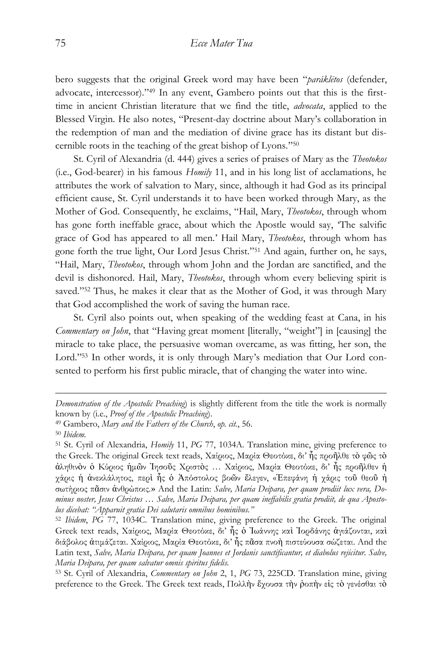bero suggests that the original Greek word may have been "*paráklētos* (defender, advocate, intercessor)." <sup>49</sup> In any event, Gambero points out that this is the firsttime in ancient Christian literature that we find the title, *advocata*, applied to the Blessed Virgin. He also notes, "Present-day doctrine about Mary's collaboration in the redemption of man and the mediation of divine grace has its distant but discernible roots in the teaching of the great bishop of Lyons." 50

St. Cyril of Alexandria (d. 444) gives a series of praises of Mary as the *Theotokos* (i.e., God-bearer) in his famous *Homily* 11, and in his long list of acclamations, he attributes the work of salvation to Mary, since, although it had God as its principal efficient cause, St. Cyril understands it to have been worked through Mary, as the Mother of God. Consequently, he exclaims, "Hail, Mary, *Theotokos*, through whom has gone forth ineffable grace, about which the Apostle would say, 'The salvific grace of God has appeared to all men.' Hail Mary, *Theotokos*, through whom has gone forth the true light, Our Lord Jesus Christ." <sup>51</sup> And again, further on, he says, "Hail, Mary, *Theotokos*, through whom John and the Jordan are sanctified, and the devil is dishonored. Hail, Mary, *Theotokos*, through whom every believing spirit is saved."<sup>52</sup> Thus, he makes it clear that as the Mother of God, it was through Mary that God accomplished the work of saving the human race.

St. Cyril also points out, when speaking of the wedding feast at Cana, in his *Commentary on John*, that "Having great moment [literally, "weight"] in [causing] the miracle to take place, the persuasive woman overcame, as was fitting, her son, the Lord." <sup>53</sup> In other words, it is only through Mary's mediation that Our Lord consented to perform his first public miracle, that of changing the water into wine.

 $\overline{a}$ 

<sup>53</sup> St. Cyril of Alexandria, *Commentary on John* 2, 1, *PG* 73, 225CD. Translation mine, giving preference to the Greek. The Greek text reads, Πολλὴν ἔχουσα τὴν ῥοπὴν εἰς τὸ γενέσθαι τὸ

*Demonstration of the Apostolic Preaching*) is slightly different from the title the work is normally known by (i.e., *Proof of the Apostolic Preaching*).

<sup>49</sup> Gambero, *Mary and the Fathers of the Church*, *op. cit.*, 56.

<sup>50</sup> *Ibidem.*

<sup>51</sup> St. Cyril of Alexandria, *Homily* 11, *PG* 77, 1034A. Translation mine, giving preference to the Greek. The original Greek text reads, Χαίριος, Μαρία Θεοτόκε, δι' ἧς προῆλθε τὸ φῶς τὸ ἀληθινὸν ὁ Κύριος ἡμῶν Ἰησοῦς Χριστὸς … Χαίριος, Μαρία Θεοτόκε, δι' ἧς προῆλθεν ἡ χάρις ἡ ἀνεκλάλητος, περὶ ἧς ὁ Ἀπόστολος βοῶν ἔλεγεν, «Ἐπεφάνη ἡ χάρις τοῦ θεοῦ ἡ σωτήριος πᾶσιν ἀνθρώποις.» And the Latin: *Salve, Maria Deipara, per quam prodiit lux vera, Dominus noster, Jesus Christus … Salve, Maria Deipara, per quam ineffabilis gratia prodiit, de qua Apostolus dicebat: "Apparuit gratia Dei salutaris omnibus hominibus."*

<sup>52</sup> *Ibidem*, *PG* 77, 1034C*.* Translation mine, giving preference to the Greek. The original Greek text reads, Χαίριος, Μαρία Θεοτόκε, δι' ἧς ὁ Ἰωάννης καὶ Ἰορδάνης ἁγιάζονται, καὶ διάβολος ἀτιμάζεται. Χαίριος, Μαρία Θεοτόκε, δι' ἧς πᾶσα πνοὴ πιστεύουσα σώζεται. And the Latin text, *Salve, Maria Deipara, per quam Joannes et Jordanis sanctificantur, et diabolus rejicitur. Salve, Maria Deipara, per quam salvatur omnis spiritus fidelis.*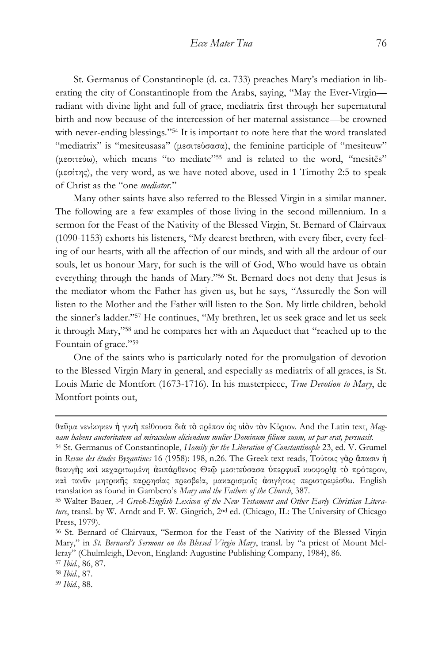St. Germanus of Constantinople (d. ca. 733) preaches Mary's mediation in liberating the city of Constantinople from the Arabs, saying, "May the Ever-Virgin radiant with divine light and full of grace, mediatrix first through her supernatural birth and now because of the intercession of her maternal assistance—be crowned with never-ending blessings."<sup>54</sup> It is important to note here that the word translated "mediatrix" is "mesiteusasa" (μεσιτεύσασα), the feminine participle of "mesiteuw" (μεσιτεύω), which means "to mediate" <sup>55</sup> and is related to the word, "mesitēs" (μεσίτης), the very word, as we have noted above, used in 1 Timothy 2:5 to speak of Christ as the "one *mediator*."

Many other saints have also referred to the Blessed Virgin in a similar manner. The following are a few examples of those living in the second millennium. In a sermon for the Feast of the Nativity of the Blessed Virgin, St. Bernard of Clairvaux (1090-1153) exhorts his listeners, "My dearest brethren, with every fiber, every feeling of our hearts, with all the affection of our minds, and with all the ardour of our souls, let us honour Mary, for such is the will of God, Who would have us obtain everything through the hands of Mary." <sup>56</sup> St. Bernard does not deny that Jesus is the mediator whom the Father has given us, but he says, "Assuredly the Son will listen to the Mother and the Father will listen to the Son. My little children, behold the sinner's ladder." <sup>57</sup> He continues, "My brethren, let us seek grace and let us seek it through Mary," <sup>58</sup> and he compares her with an Aqueduct that "reached up to the Fountain of grace."<sup>59</sup>

One of the saints who is particularly noted for the promulgation of devotion to the Blessed Virgin Mary in general, and especially as mediatrix of all graces, is St. Louis Marie de Montfort (1673-1716). In his masterpiece, *True Devotion to Mary*, de Montfort points out,

θαῦμα νενίκηκεν ἡ γυνὴ πείθουσα διὰ τὸ πρέπον ὡς υἱὸν τὸν Κύριον. And the Latin text, *Magnam habens auctoritatem ad miraculum eliciendum mulier Dominum filium suum, ut par erat, persuasit.*

<sup>54</sup> St. Germanus of Constantinople, *Homily for the Liberation of Constantinople* 23, ed. V. Grumel in *Revue des études Byzantines* 16 (1958): 198, n.26. The Greek text reads, Τούτοις γὰρ ἅπασιν ἡ θεαυγὴς καὶ κεχαριτωμένη ἀειπάρθενος Θεῷ μεσιτεύσασα ὑπερφυεῖ κυοφορίᾳ τὸ πρότερον, καὶ τανῦν μητρικῆς παρρησίας πρεσβεία, μακαρισμοῖς ἀσιγήτοις περιστρεφέσθω. English translation as found in Gambero's *Mary and the Fathers of the Church*, 387.

<sup>55</sup> Walter Bauer, *A Greek-English Lexicon of the New Testament and Other Early Christian Literature*, transl. by W. Arndt and F. W. Gingrich, 2nd ed. (Chicago, IL: The University of Chicago Press, 1979).

<sup>56</sup> St. Bernard of Clairvaux, "Sermon for the Feast of the Nativity of the Blessed Virgin Mary," in *St. Bernard's Sermons on the Blessed Virgin Mary*, transl. by "a priest of Mount Melleray" (Chulmleigh, Devon, England: Augustine Publishing Company, 1984), 86.

<sup>57</sup> *Ibid.*, 86, 87.

<sup>58</sup> *Ibid.*, 87.

<sup>59</sup> *Ibid.*, 88.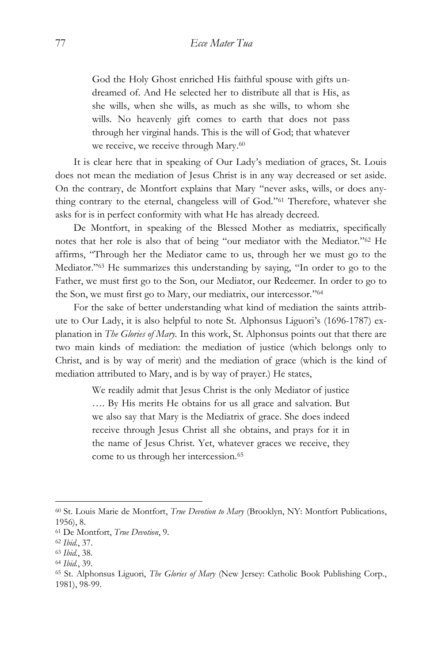God the Holy Ghost enriched His faithful spouse with gifts undreamed of. And He selected her to distribute all that is His, as she wills, when she wills, as much as she wills, to whom she wills. No heavenly gift comes to earth that does not pass through her virginal hands. This is the will of God; that whatever we receive, we receive through Mary.<sup>60</sup>

It is clear here that in speaking of Our Lady's mediation of graces, St. Louis does not mean the mediation of Jesus Christ is in any way decreased or set aside. On the contrary, de Montfort explains that Mary "never asks, wills, or does anything contrary to the eternal, changeless will of God." <sup>61</sup> Therefore, whatever she asks for is in perfect conformity with what He has already decreed.

De Montfort, in speaking of the Blessed Mother as mediatrix, specifically notes that her role is also that of being "our mediator with the Mediator." <sup>62</sup> He affirms, "Through her the Mediator came to us, through her we must go to the Mediator." <sup>63</sup> He summarizes this understanding by saying, "In order to go to the Father, we must first go to the Son, our Mediator, our Redeemer. In order to go to the Son, we must first go to Mary, our mediatrix, our intercessor." 64

For the sake of better understanding what kind of mediation the saints attribute to Our Lady, it is also helpful to note St. Alphonsus Liguori's (1696-1787) explanation in *The Glories of Mary.* In this work, St. Alphonsus points out that there are two main kinds of mediation: the mediation of justice (which belongs only to Christ, and is by way of merit) and the mediation of grace (which is the kind of mediation attributed to Mary, and is by way of prayer.) He states,

> We readily admit that Jesus Christ is the only Mediator of justice …. By His merits He obtains for us all grace and salvation. But we also say that Mary is the Mediatrix of grace. She does indeed receive through Jesus Christ all she obtains, and prays for it in the name of Jesus Christ. Yet, whatever graces we receive, they come to us through her intercession.<sup>65</sup>

<sup>60</sup> St. Louis Marie de Montfort, *True Devotion to Mary* (Brooklyn, NY: Montfort Publications, 1956), 8.

<sup>61</sup> De Montfort, *True Devotion*, 9.

<sup>62</sup> *Ibid.*, 37.

<sup>63</sup> *Ibid.*, 38.

<sup>64</sup> *Ibid.*, 39.

<sup>65</sup> St. Alphonsus Liguori, *The Glories of Mary* (New Jersey: Catholic Book Publishing Corp., 1981), 98-99.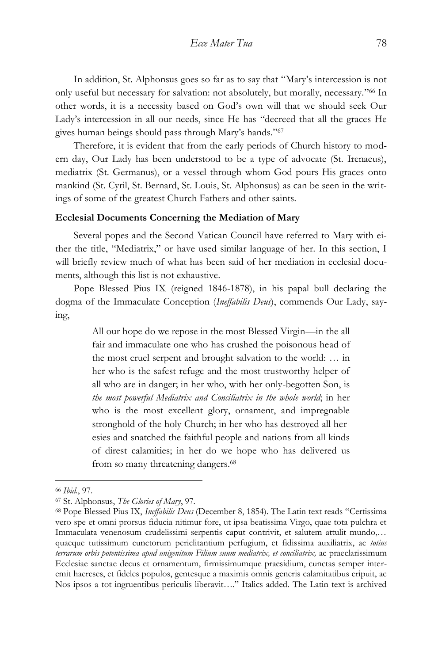In addition, St. Alphonsus goes so far as to say that "Mary's intercession is not only useful but necessary for salvation: not absolutely, but morally, necessary." <sup>66</sup> In other words, it is a necessity based on God's own will that we should seek Our Lady's intercession in all our needs, since He has "decreed that all the graces He gives human beings should pass through Mary's hands." 67

Therefore, it is evident that from the early periods of Church history to modern day, Our Lady has been understood to be a type of advocate (St. Irenaeus), mediatrix (St. Germanus), or a vessel through whom God pours His graces onto mankind (St. Cyril, St. Bernard, St. Louis, St. Alphonsus) as can be seen in the writings of some of the greatest Church Fathers and other saints.

#### **Ecclesial Documents Concerning the Mediation of Mary**

Several popes and the Second Vatican Council have referred to Mary with either the title, "Mediatrix," or have used similar language of her. In this section, I will briefly review much of what has been said of her mediation in ecclesial documents, although this list is not exhaustive.

Pope Blessed Pius IX (reigned 1846-1878), in his papal bull declaring the dogma of the Immaculate Conception (*Ineffabilis Deus*), commends Our Lady, saying,

> All our hope do we repose in the most Blessed Virgin—in the all fair and immaculate one who has crushed the poisonous head of the most cruel serpent and brought salvation to the world: … in her who is the safest refuge and the most trustworthy helper of all who are in danger; in her who, with her only-begotten Son, is *the most powerful Mediatrix and Conciliatrix in the whole world*; in her who is the most excellent glory, ornament, and impregnable stronghold of the holy Church; in her who has destroyed all heresies and snatched the faithful people and nations from all kinds of direst calamities; in her do we hope who has delivered us from so many threatening dangers.<sup>68</sup>

<sup>66</sup> *Ibid.*, 97.

<sup>67</sup> St. Alphonsus, *The Glories of Mary*, 97*.*

<sup>68</sup> Pope Blessed Pius IX, *Ineffabilis Deus* (December 8, 1854). The Latin text reads "Certissima vero spe et omni prorsus fiducia nitimur fore, ut ipsa beatissima Virgo, quae tota pulchra et Immaculata venenosum crudelissimi serpentis caput contrivit, et salutem attulit mundo,… quaeque tutissimum cunctorum periclitantium perfugium, et fidissima auxiliatrix, ac *totius terrarum orbis potentissima apud unigenitum Filium suum mediatrix, et conciliatrix,* ac praeclarissimum Ecclesiae sanctae decus et ornamentum, firmissimumque praesidium, cunctas semper interemit haereses, et fideles populos, gentesque a maximis omnis generis calamitatibus eripuit, ac Nos ipsos a tot ingruentibus periculis liberavit…." Italics added. The Latin text is archived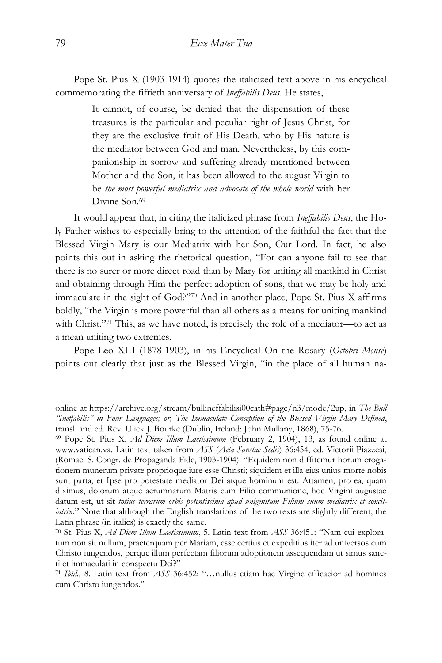Pope St. Pius X (1903-1914) quotes the italicized text above in his encyclical commemorating the fiftieth anniversary of *Ineffabilis Deus*. He states,

> It cannot, of course, be denied that the dispensation of these treasures is the particular and peculiar right of Jesus Christ, for they are the exclusive fruit of His Death, who by His nature is the mediator between God and man. Nevertheless, by this companionship in sorrow and suffering already mentioned between Mother and the Son, it has been allowed to the august Virgin to be *the most powerful mediatrix and advocate of the whole world* with her Divine Son.<sup>69</sup>

It would appear that, in citing the italicized phrase from *Ineffabilis Deus*, the Holy Father wishes to especially bring to the attention of the faithful the fact that the Blessed Virgin Mary is our Mediatrix with her Son, Our Lord. In fact, he also points this out in asking the rhetorical question, "For can anyone fail to see that there is no surer or more direct road than by Mary for uniting all mankind in Christ and obtaining through Him the perfect adoption of sons, that we may be holy and immaculate in the sight of God?" <sup>70</sup> And in another place, Pope St. Pius X affirms boldly, "the Virgin is more powerful than all others as a means for uniting mankind with Christ." <sup>71</sup> This, as we have noted, is precisely the role of a mediator—to act as a mean uniting two extremes.

Pope Leo XIII (1878-1903), in his Encyclical On the Rosary (*Octobri Mense*) points out clearly that just as the Blessed Virgin, "in the place of all human na-

online at https://archive.org/stream/bullineffabilisi00cath#page/n3/mode/2up, in *The Bull "Ineffabilis" in Four Languages; or, The Immaculate Conception of the Blessed Virgin Mary Defined*, transl. and ed. Rev. Ulick J. Bourke (Dublin, Ireland: John Mullany, 1868), 75-76.

<sup>69</sup> Pope St. Pius X, *Ad Diem Illum Laetissimum* (February 2, 1904), 13, as found online at www.vatican.va. Latin text taken from *ASS* (*Acta Sanctae Sedis*) 36:454, ed. Victorii Piazzesi, (Romae: S. Congr. de Propaganda Fide, 1903-1904): "Equidem non diffitemur horum erogationem munerum private proprioque iure esse Christi; siquidem et illa eius unius morte nobis sunt parta, et Ipse pro potestate mediator Dei atque hominum est. Attamen, pro ea, quam diximus, dolorum atque aerumnarum Matris cum Filio communione, hoc Virgini augustae datum est, ut sit *totius terrarum orbis potentissima apud unigenitum Filium suum mediatrix et conciliatrix.*" Note that although the English translations of the two texts are slightly different, the Latin phrase (in italics) is exactly the same.

<sup>70</sup> St. Pius X, *Ad Diem Illum Laetissimum*, 5. Latin text from *ASS* 36:451: "Nam cui exploratum non sit nullum, praeterquam per Mariam, esse certius et expeditius iter ad universos cum Christo iungendos, perque illum perfectam filiorum adoptionem assequendam ut simus sancti et immaculati in conspectu Dei?"

<sup>71</sup> *Ibid.*, 8. Latin text from *ASS* 36:452: "…nullus etiam hac Virgine efficacior ad homines cum Christo iungendos."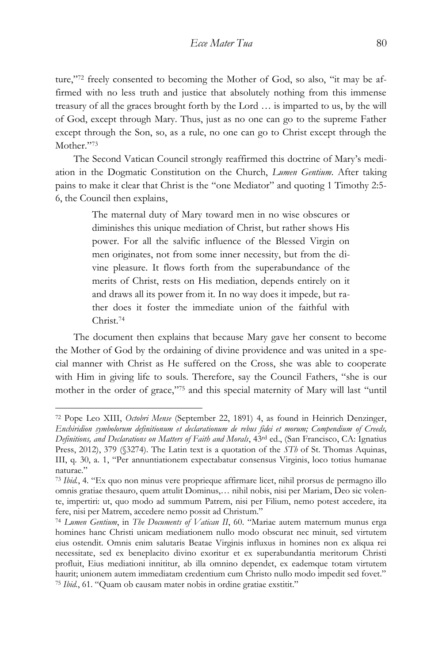ture," <sup>72</sup> freely consented to becoming the Mother of God, so also, "it may be affirmed with no less truth and justice that absolutely nothing from this immense treasury of all the graces brought forth by the Lord … is imparted to us, by the will of God, except through Mary. Thus, just as no one can go to the supreme Father except through the Son, so, as a rule, no one can go to Christ except through the Mother." 73

The Second Vatican Council strongly reaffirmed this doctrine of Mary's mediation in the Dogmatic Constitution on the Church, *Lumen Gentium*. After taking pains to make it clear that Christ is the "one Mediator" and quoting 1 Timothy 2:5- 6, the Council then explains,

> The maternal duty of Mary toward men in no wise obscures or diminishes this unique mediation of Christ, but rather shows His power. For all the salvific influence of the Blessed Virgin on men originates, not from some inner necessity, but from the divine pleasure. It flows forth from the superabundance of the merits of Christ, rests on His mediation, depends entirely on it and draws all its power from it. In no way does it impede, but rather does it foster the immediate union of the faithful with Christ.<sup>74</sup>

The document then explains that because Mary gave her consent to become the Mother of God by the ordaining of divine providence and was united in a special manner with Christ as He suffered on the Cross, she was able to cooperate with Him in giving life to souls. Therefore, say the Council Fathers, "she is our mother in the order of grace," <sup>75</sup> and this special maternity of Mary will last "until

<sup>72</sup> Pope Leo XIII, *Octobri Mense* (September 22, 1891) 4, as found in Heinrich Denzinger, *Enchiridion symbolorum definitionum et declarationum de rebus fidei et morum; Compendium of Creeds, Definitions, and Declarations on Matters of Faith and Morals*, 43rd ed., (San Francisco, CA: Ignatius Press, 2012), 379 (§3274). The Latin text is a quotation of the *STh* of St. Thomas Aquinas, III, q. 30, a. 1, "Per annuntiationem expectabatur consensus Virginis, loco totius humanae naturae."

<sup>73</sup> *Ibid.*, 4*.* "Ex quo non minus vere proprieque affirmare licet, nihil prorsus de permagno illo omnis gratiae thesauro, quem attulit Dominus,… nihil nobis, nisi per Mariam, Deo sic volente, impertiri: ut, quo modo ad summum Patrem, nisi per Filium, nemo potest accedere, ita fere, nisi per Matrem, accedere nemo possit ad Christum."

<sup>74</sup> *Lumen Gentium*, in *The Documents of Vatican II*, 60. "Mariae autem maternum munus erga homines hanc Christi unicam mediationem nullo modo obscurat nec minuit, sed virtutem eius ostendit. Omnis enim salutaris Beatae Virginis influxus in homines non ex aliqua rei necessitate, sed ex beneplacito divino exoritur et ex superabundantia meritorum Christi profluit, Eius mediationi innititur, ab illa omnino dependet, ex eademque totam virtutem haurit; unionem autem immediatam credentium cum Christo nullo modo impedit sed fovet." <sup>75</sup> *Ibid.*, 61. "Quam ob causam mater nobis in ordine gratiae exstitit."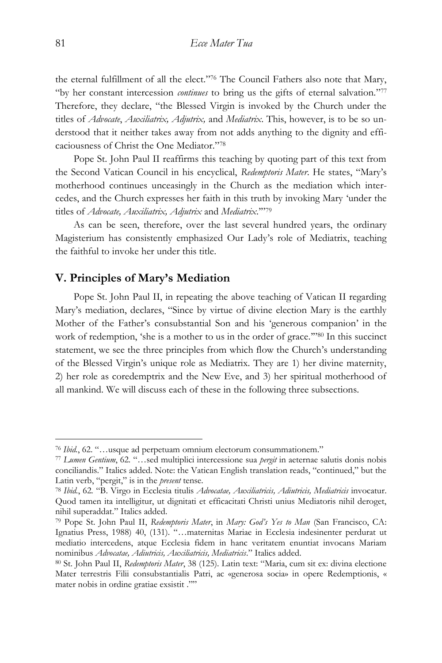the eternal fulfillment of all the elect." <sup>76</sup> The Council Fathers also note that Mary, "by her constant intercession *continues* to bring us the gifts of eternal salvation." 77 Therefore, they declare, "the Blessed Virgin is invoked by the Church under the titles of *Advocate*, *Auxiliatrix, Adjutrix,* and *Mediatrix*. This, however, is to be so understood that it neither takes away from not adds anything to the dignity and efficaciousness of Christ the One Mediator." 78

Pope St. John Paul II reaffirms this teaching by quoting part of this text from the Second Vatican Council in his encyclical, *Redemptoris Mater*. He states, "Mary's motherhood continues unceasingly in the Church as the mediation which intercedes, and the Church expresses her faith in this truth by invoking Mary 'under the titles of *Advocate, Auxiliatrix, Adjutrix* and *Mediatrix*.'" 79

As can be seen, therefore, over the last several hundred years, the ordinary Magisterium has consistently emphasized Our Lady's role of Mediatrix, teaching the faithful to invoke her under this title.

## **V. Principles of Mary's Mediation**

Pope St. John Paul II, in repeating the above teaching of Vatican II regarding Mary's mediation, declares, "Since by virtue of divine election Mary is the earthly Mother of the Father's consubstantial Son and his 'generous companion' in the work of redemption, 'she is a mother to us in the order of grace."<sup>80</sup> In this succinct statement, we see the three principles from which flow the Church's understanding of the Blessed Virgin's unique role as Mediatrix. They are 1) her divine maternity, 2) her role as coredemptrix and the New Eve, and 3) her spiritual motherhood of all mankind. We will discuss each of these in the following three subsections.

<sup>76</sup> *Ibid.*, 62. "…usque ad perpetuam omnium electorum consummationem."

<sup>77</sup> *Lumen Gentium*, 62*.* "…sed multiplici intercessione sua *pergit* in aeternae salutis donis nobis conciliandis." Italics added. Note: the Vatican English translation reads, "continued," but the Latin verb, "pergit," is in the *present* tense.

<sup>78</sup> *Ibid.*, 62*.* "B. Virgo in Ecclesia titulis *Advocatae, Auxiliatricis, Adiutricis, Mediatricis* invocatur. Quod tamen ita intelligitur, ut dignitati et efficacitati Christi unius Mediatoris nihil deroget, nihil superaddat." Italics added.

<sup>79</sup> Pope St. John Paul II, *Redemptoris Mater*, in *Mary: God's Yes to Man* (San Francisco, CA: Ignatius Press, 1988) 40, (131). "…maternitas Mariae in Ecclesia indesinenter perdurat ut mediatio intercedens, atque Ecclesia fidem in hanc veritatem enuntiat invocans Mariam nominibus *Advocatae, Adiutricis, Auxiliatricis, Mediatricis*." Italics added.

<sup>80</sup> St. John Paul II, *Redemptoris Mater*, 38 (125). Latin text: "Maria, cum sit ex: divina electione Mater terrestris Filii consubstantialis Patri, ac «generosa socia» in opere Redemptionis, « mater nobis in ordine gratiae exsistit .""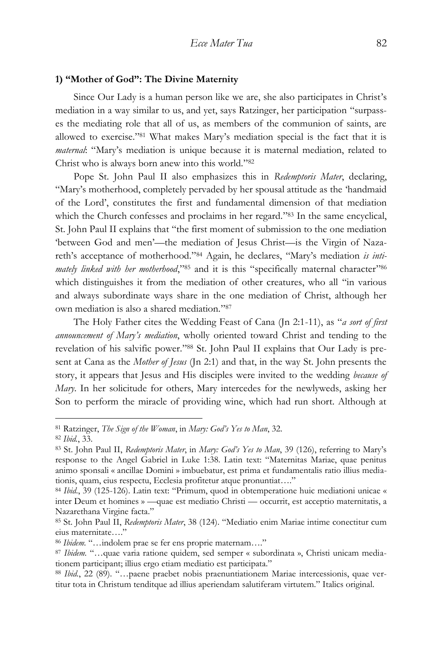#### **1) "Mother of God": The Divine Maternity**

Since Our Lady is a human person like we are, she also participates in Christ's mediation in a way similar to us, and yet, says Ratzinger, her participation "surpasses the mediating role that all of us, as members of the communion of saints, are allowed to exercise." <sup>81</sup> What makes Mary's mediation special is the fact that it is *maternal*: "Mary's mediation is unique because it is maternal mediation, related to Christ who is always born anew into this world." 82

Pope St. John Paul II also emphasizes this in *Redemptoris Mater*, declaring, "Mary's motherhood, completely pervaded by her spousal attitude as the 'handmaid of the Lord', constitutes the first and fundamental dimension of that mediation which the Church confesses and proclaims in her regard."<sup>83</sup> In the same encyclical, St. John Paul II explains that "the first moment of submission to the one mediation 'between God and men'—the mediation of Jesus Christ—is the Virgin of Nazareth's acceptance of motherhood." <sup>84</sup> Again, he declares, "Mary's mediation *is inti*mately linked with her motherhood,"<sup>85</sup> and it is this "specifically maternal character"<sup>86</sup> which distinguishes it from the mediation of other creatures, who all "in various and always subordinate ways share in the one mediation of Christ, although her own mediation is also a shared mediation." 87

The Holy Father cites the Wedding Feast of Cana (Jn 2:1-11), as "*a sort of first announcement of Mary's mediation*, wholly oriented toward Christ and tending to the revelation of his salvific power." <sup>88</sup> St. John Paul II explains that Our Lady is present at Cana as the *Mother of Jesus* (Jn 2:1) and that, in the way St. John presents the story, it appears that Jesus and His disciples were invited to the wedding *because of Mary*. In her solicitude for others, Mary intercedes for the newlyweds, asking her Son to perform the miracle of providing wine, which had run short. Although at

<sup>81</sup> Ratzinger, *The Sign of the Woman*, in *Mary: God's Yes to Man*, 32.

<sup>82</sup> *Ibid.*, 33.

<sup>83</sup> St. John Paul II, *Redemptoris Mater*, in *Mary: God's Yes to Man*, 39 (126), referring to Mary's response to the Angel Gabriel in Luke 1:38. Latin text: "Maternitas Mariae, quae penitus animo sponsali « ancillae Domini » imbuebatur, est prima et fundamentalis ratio illius mediationis, quam, eius respectu, Ecclesia profitetur atque pronuntiat…."

<sup>84</sup> *Ibid.*, 39 (125-126). Latin text: "Primum, quod in obtemperatione huic mediationi unicae « inter Deum et homines » —quae est mediatio Christi — occurrit, est acceptio maternitatis, a Nazarethana Virgine facta."

<sup>85</sup> St. John Paul II, *Redemptoris Mater*, 38 (124). "Mediatio enim Mariae intime conectitur cum eius maternitate…."

<sup>86</sup> *Ibidem.* "…indolem prae se fer ens proprie maternam…."

<sup>87</sup> *Ibidem.* "…quae varia ratione quidem, sed semper « subordinata », Christi unicam mediationem participant; illius ergo etiam mediatio est participata."

<sup>88</sup> *Ibid.*, 22 (89). "…paene praebet nobis praenuntiationem Mariae intercessionis, quae vertitur tota in Christum tenditque ad illius aperiendam salutiferam virtutem." Italics original.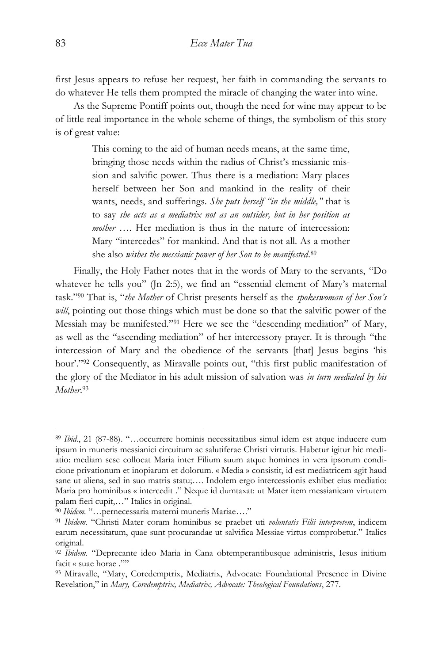first Jesus appears to refuse her request, her faith in commanding the servants to do whatever He tells them prompted the miracle of changing the water into wine.

As the Supreme Pontiff points out, though the need for wine may appear to be of little real importance in the whole scheme of things, the symbolism of this story is of great value:

> This coming to the aid of human needs means, at the same time, bringing those needs within the radius of Christ's messianic mission and salvific power. Thus there is a mediation: Mary places herself between her Son and mankind in the reality of their wants, needs, and sufferings. *She puts herself "in the middle,"* that is to say *she acts as a mediatrix not as an outsider, but in her position as mother* …. Her mediation is thus in the nature of intercession: Mary "intercedes" for mankind. And that is not all. As a mother she also *wishes the messianic power of her Son to be manifested*. 89

Finally, the Holy Father notes that in the words of Mary to the servants, "Do whatever he tells you" (Jn 2:5), we find an "essential element of Mary's maternal task." <sup>90</sup> That is, "*the Mother* of Christ presents herself as the *spokeswoman of her Son's*  will, pointing out those things which must be done so that the salvific power of the Messiah may be manifested."<sup>91</sup> Here we see the "descending mediation" of Mary, as well as the "ascending mediation" of her intercessory prayer. It is through "the intercession of Mary and the obedience of the servants [that] Jesus begins 'his hour'."<sup>92</sup> Consequently, as Miravalle points out, "this first public manifestation of the glory of the Mediator in his adult mission of salvation was *in turn mediated by his Mother*. 93

<sup>89</sup> *Ibid*., 21 (87-88). "…occurrere hominis necessitatibus simul idem est atque inducere eum ipsum in muneris messianici circuitum ac salutiferae Christi virtutis. Habetur igitur hic mediatio: mediam sese collocat Maria inter Filium suum atque homines in vera ipsorum condicione privationum et inopiarum et dolorum. « Media » consistit, id est mediatricem agit haud sane ut aliena, sed in suo matris statu;…. Indolem ergo intercessionis exhibet eius mediatio: Maria pro hominibus « intercedit ." Neque id dumtaxat: ut Mater item messianicam virtutem palam fieri cupit,…" Italics in original.

<sup>90</sup> *Ibidem.* "…pernecessaria materni muneris Mariae…."

<sup>91</sup> *Ibidem.* "Christi Mater coram hominibus se praebet uti *voluntatis Filii interpretem*, indicem earum necessitatum, quae sunt procurandae ut salvifica Messiae virtus comprobetur." Italics original.

<sup>92</sup> *Ibidem.* "Deprecante ideo Maria in Cana obtemperantibusque administris, Iesus initium facit « suae horae .""

<sup>93</sup> Miravalle, "Mary, Coredemptrix, Mediatrix, Advocate: Foundational Presence in Divine Revelation," in *Mary, Coredemptrix, Mediatrix, Advocate: Theological Foundations*, 277.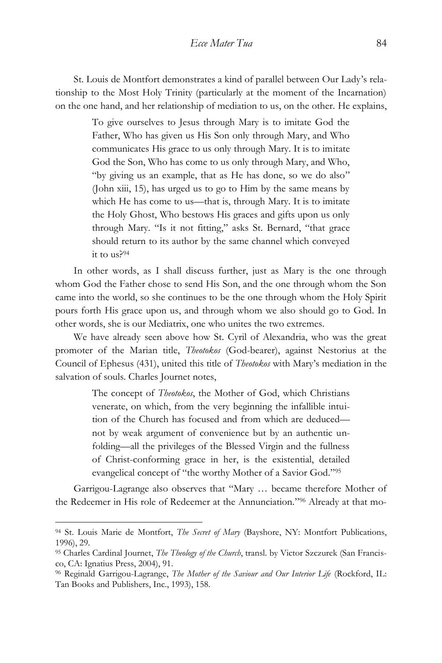St. Louis de Montfort demonstrates a kind of parallel between Our Lady's relationship to the Most Holy Trinity (particularly at the moment of the Incarnation) on the one hand, and her relationship of mediation to us, on the other. He explains,

> To give ourselves to Jesus through Mary is to imitate God the Father, Who has given us His Son only through Mary, and Who communicates His grace to us only through Mary. It is to imitate God the Son, Who has come to us only through Mary, and Who, "by giving us an example, that as He has done, so we do also" (John xiii, 15), has urged us to go to Him by the same means by which He has come to us—that is, through Mary. It is to imitate the Holy Ghost, Who bestows His graces and gifts upon us only through Mary. "Is it not fitting," asks St. Bernard, "that grace should return to its author by the same channel which conveyed it to us?<sup>94</sup>

In other words, as I shall discuss further, just as Mary is the one through whom God the Father chose to send His Son, and the one through whom the Son came into the world, so she continues to be the one through whom the Holy Spirit pours forth His grace upon us, and through whom we also should go to God. In other words, she is our Mediatrix, one who unites the two extremes.

We have already seen above how St. Cyril of Alexandria, who was the great promoter of the Marian title, *Theotokos* (God-bearer), against Nestorius at the Council of Ephesus (431), united this title of *Theotokos* with Mary's mediation in the salvation of souls. Charles Journet notes,

> The concept of *Theotokos*, the Mother of God, which Christians venerate, on which, from the very beginning the infallible intuition of the Church has focused and from which are deduced not by weak argument of convenience but by an authentic unfolding—all the privileges of the Blessed Virgin and the fullness of Christ-conforming grace in her, is the existential, detailed evangelical concept of "the worthy Mother of a Savior God."<sup>95</sup>

Garrigou-Lagrange also observes that "Mary … became therefore Mother of the Redeemer in His role of Redeemer at the Annunciation." <sup>96</sup> Already at that mo-

<sup>94</sup> St. Louis Marie de Montfort, *The Secret of Mary* (Bayshore, NY: Montfort Publications, 1996), 29.

<sup>95</sup> Charles Cardinal Journet, *The Theology of the Church*, transl. by Victor Szczurek (San Francisco, CA: Ignatius Press, 2004), 91.

<sup>96</sup> Reginald Garrigou-Lagrange, *The Mother of the Saviour and Our Interior Life* (Rockford, IL: Tan Books and Publishers, Inc., 1993), 158.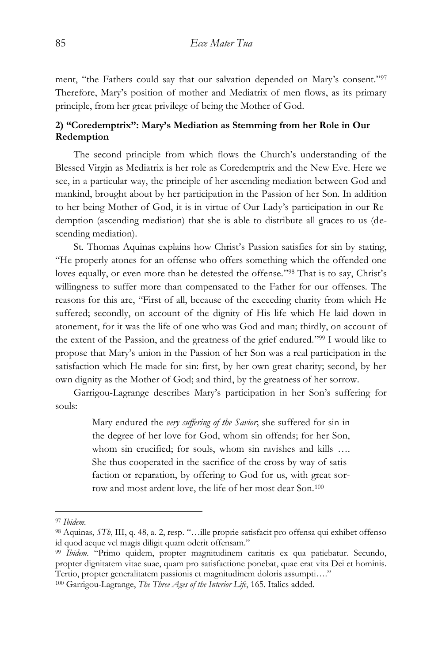ment, "the Fathers could say that our salvation depended on Mary's consent."<sup>97</sup> Therefore, Mary's position of mother and Mediatrix of men flows, as its primary principle, from her great privilege of being the Mother of God.

## **2) "Coredemptrix": Mary's Mediation as Stemming from her Role in Our Redemption**

The second principle from which flows the Church's understanding of the Blessed Virgin as Mediatrix is her role as Coredemptrix and the New Eve. Here we see, in a particular way, the principle of her ascending mediation between God and mankind, brought about by her participation in the Passion of her Son. In addition to her being Mother of God, it is in virtue of Our Lady's participation in our Redemption (ascending mediation) that she is able to distribute all graces to us (descending mediation).

St. Thomas Aquinas explains how Christ's Passion satisfies for sin by stating, "He properly atones for an offense who offers something which the offended one loves equally, or even more than he detested the offense."<sup>98</sup> That is to say, Christ's willingness to suffer more than compensated to the Father for our offenses. The reasons for this are, "First of all, because of the exceeding charity from which He suffered; secondly, on account of the dignity of His life which He laid down in atonement, for it was the life of one who was God and man; thirdly, on account of the extent of the Passion, and the greatness of the grief endured." <sup>99</sup> I would like to propose that Mary's union in the Passion of her Son was a real participation in the satisfaction which He made for sin: first, by her own great charity; second, by her own dignity as the Mother of God; and third, by the greatness of her sorrow.

Garrigou-Lagrange describes Mary's participation in her Son's suffering for souls:

> Mary endured the *very suffering of the Savior*; she suffered for sin in the degree of her love for God, whom sin offends; for her Son, whom sin crucified; for souls, whom sin ravishes and kills …. She thus cooperated in the sacrifice of the cross by way of satisfaction or reparation, by offering to God for us, with great sorrow and most ardent love, the life of her most dear Son.<sup>100</sup>

<sup>97</sup> *Ibidem.*

<sup>98</sup> Aquinas, *STh*, III, q. 48, a. 2, resp. "…ille proprie satisfacit pro offensa qui exhibet offenso id quod aeque vel magis diligit quam oderit offensam."

<sup>99</sup> *Ibidem.* "Primo quidem, propter magnitudinem caritatis ex qua patiebatur. Secundo, propter dignitatem vitae suae, quam pro satisfactione ponebat, quae erat vita Dei et hominis. Tertio, propter generalitatem passionis et magnitudinem doloris assumpti…."

<sup>100</sup> Garrigou-Lagrange, *The Three Ages of the Interior Life*, 165. Italics added.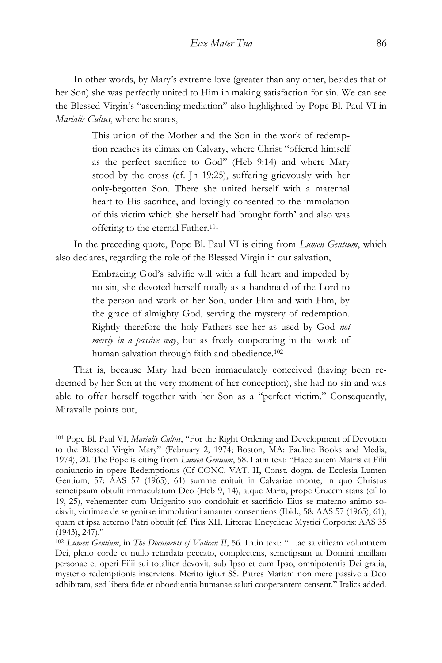In other words, by Mary's extreme love (greater than any other, besides that of her Son) she was perfectly united to Him in making satisfaction for sin. We can see the Blessed Virgin's "ascending mediation" also highlighted by Pope Bl. Paul VI in *Marialis Cultus*, where he states,

> This union of the Mother and the Son in the work of redemption reaches its climax on Calvary, where Christ "offered himself as the perfect sacrifice to God" (Heb 9:14) and where Mary stood by the cross (cf. Jn 19:25), suffering grievously with her only-begotten Son. There she united herself with a maternal heart to His sacrifice, and lovingly consented to the immolation of this victim which she herself had brought forth' and also was offering to the eternal Father.<sup>101</sup>

In the preceding quote, Pope Bl. Paul VI is citing from *Lumen Gentium*, which also declares, regarding the role of the Blessed Virgin in our salvation,

> Embracing God's salvific will with a full heart and impeded by no sin, she devoted herself totally as a handmaid of the Lord to the person and work of her Son, under Him and with Him, by the grace of almighty God, serving the mystery of redemption. Rightly therefore the holy Fathers see her as used by God *not merely in a passive way*, but as freely cooperating in the work of human salvation through faith and obedience.<sup>102</sup>

That is, because Mary had been immaculately conceived (having been redeemed by her Son at the very moment of her conception), she had no sin and was able to offer herself together with her Son as a "perfect victim." Consequently, Miravalle points out,

<sup>101</sup> Pope Bl. Paul VI, *Marialis Cultus*, "For the Right Ordering and Development of Devotion to the Blessed Virgin Mary" (February 2, 1974; Boston, MA: Pauline Books and Media, 1974), 20. The Pope is citing from *Lumen Gentium*, 58. Latin text: "Haec autem Matris et Filii coniunctio in opere Redemptionis (Cf CONC. VAT. II, Const. dogm. de Ecclesia Lumen Gentium, 57: AAS 57 (1965), 61) summe enituit in Calvariae monte, in quo Christus semetipsum obtulit immaculatum Deo (Heb 9, 14), atque Maria, prope Crucem stans (cf Io 19, 25), vehementer cum Unigenito suo condoluit et sacrificio Eius se materno animo sociavit, victimae de se genitae immolationi amanter consentiens (Ibid., 58: AAS 57 (1965), 61), quam et ipsa aeterno Patri obtulit (cf. Pius XII, Litterae Encyclicae Mystici Corporis: AAS 35 (1943), 247)."

<sup>102</sup> *Lumen Gentium*, in *The Documents of Vatican II*, 56. Latin text: "…ac salvificam voluntatem Dei, pleno corde et nullo retardata peccato, complectens, semetipsam ut Domini ancillam personae et operi Filii sui totaliter devovit, sub Ipso et cum Ipso, omnipotentis Dei gratia, mysterio redemptionis inserviens. Merito igitur SS. Patres Mariam non mere passive a Deo adhibitam, sed libera fide et oboedientia humanae saluti cooperantem censent." Italics added.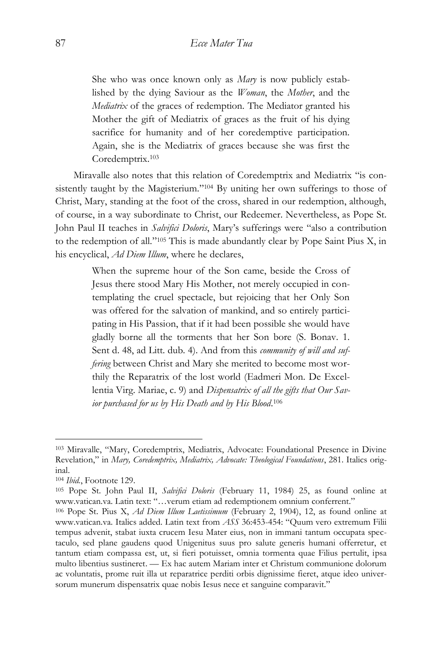She who was once known only as *Mary* is now publicly established by the dying Saviour as the *Woman*, the *Mother*, and the *Mediatrix* of the graces of redemption. The Mediator granted his Mother the gift of Mediatrix of graces as the fruit of his dying sacrifice for humanity and of her coredemptive participation. Again, she is the Mediatrix of graces because she was first the Coredemptrix.<sup>103</sup>

Miravalle also notes that this relation of Coredemptrix and Mediatrix "is consistently taught by the Magisterium." <sup>104</sup> By uniting her own sufferings to those of Christ, Mary, standing at the foot of the cross, shared in our redemption, although, of course, in a way subordinate to Christ, our Redeemer. Nevertheless, as Pope St. John Paul II teaches in *Salvifici Doloris*, Mary's sufferings were "also a contribution to the redemption of all." <sup>105</sup> This is made abundantly clear by Pope Saint Pius X, in his encyclical, *Ad Diem Illum*, where he declares,

> When the supreme hour of the Son came, beside the Cross of Jesus there stood Mary His Mother, not merely occupied in contemplating the cruel spectacle, but rejoicing that her Only Son was offered for the salvation of mankind, and so entirely participating in His Passion, that if it had been possible she would have gladly borne all the torments that her Son bore (S. Bonav. 1. Sent d. 48, ad Litt. dub. 4). And from this *community of will and suffering* between Christ and Mary she merited to become most worthily the Reparatrix of the lost world (Eadmeri Mon. De Excellentia Virg. Mariae, c. 9) and *Dispensatrix of all the gifts that Our Savior purchased for us by His Death and by His Blood*. 106

<sup>103</sup> Miravalle, "Mary, Coredemptrix, Mediatrix, Advocate: Foundational Presence in Divine Revelation," in *Mary, Coredemptrix, Mediatrix, Advocate: Theological Foundations*, 281. Italics original.

<sup>104</sup> *Ibid.*, Footnote 129.

<sup>105</sup> Pope St. John Paul II, *Salvifici Doloris* (February 11, 1984) 25, as found online at www.vatican.va. Latin text: "…verum etiam ad redemptionem omnium conferrent."

<sup>106</sup> Pope St. Pius X, *Ad Diem Illum Laetissimum* (February 2, 1904), 12, as found online at www.vatican.va. Italics added. Latin text from *ASS* 36:453-454: "Quum vero extremum Filii tempus advenit, stabat iuxta crucem Iesu Mater eius, non in immani tantum occupata spectaculo, sed plane gaudens quod Unigenitus suus pro salute generis humani offerretur, et tantum etiam compassa est, ut, si fieri potuisset, omnia tormenta quae Filius pertulit, ipsa multo libentius sustineret. — Ex hac autem Mariam inter et Christum communione dolorum ac voluntatis, prome ruit illa ut reparatrice perditi orbis dignissime fieret, atque ideo universorum munerum dispensatrix quae nobis Iesus nece et sanguine comparavit."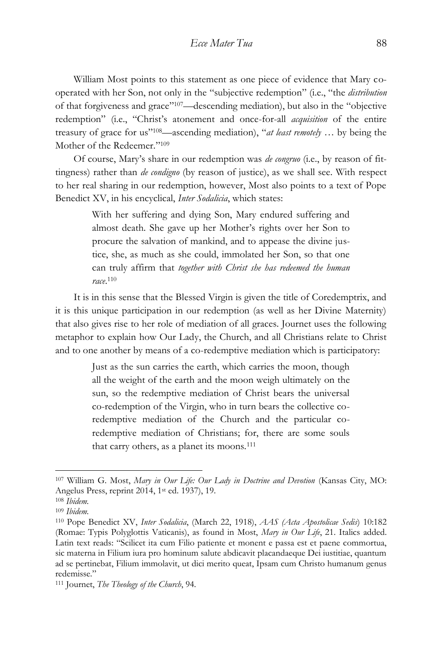William Most points to this statement as one piece of evidence that Mary cooperated with her Son, not only in the "subjective redemption" (i.e., "the *distribution* of that forgiveness and grace" <sup>107</sup>—descending mediation), but also in the "objective redemption" (i.e., "Christ's atonement and once-for-all *acquisition* of the entire treasury of grace for us" <sup>108</sup>—ascending mediation), "*at least remotely* … by being the Mother of the Redeemer." 109

Of course, Mary's share in our redemption was *de congruo* (i.e., by reason of fittingness) rather than *de condigno* (by reason of justice), as we shall see. With respect to her real sharing in our redemption, however, Most also points to a text of Pope Benedict XV, in his encyclical, *Inter Sodalicia*, which states:

> With her suffering and dying Son, Mary endured suffering and almost death. She gave up her Mother's rights over her Son to procure the salvation of mankind, and to appease the divine justice, she, as much as she could, immolated her Son, so that one can truly affirm that *together with Christ she has redeemed the human race*. 110

It is in this sense that the Blessed Virgin is given the title of Coredemptrix, and it is this unique participation in our redemption (as well as her Divine Maternity) that also gives rise to her role of mediation of all graces. Journet uses the following metaphor to explain how Our Lady, the Church, and all Christians relate to Christ and to one another by means of a co-redemptive mediation which is participatory:

> Just as the sun carries the earth, which carries the moon, though all the weight of the earth and the moon weigh ultimately on the sun, so the redemptive mediation of Christ bears the universal co-redemption of the Virgin, who in turn bears the collective coredemptive mediation of the Church and the particular coredemptive mediation of Christians; for, there are some souls that carry others, as a planet its moons.<sup>111</sup>

<sup>107</sup> William G. Most, *Mary in Our Life: Our Lady in Doctrine and Devotion* (Kansas City, MO: Angelus Press, reprint 2014, 1st ed. 1937), 19.

<sup>108</sup> *Ibidem.*

<sup>109</sup> *Ibidem.*

<sup>110</sup> Pope Benedict XV, *Inter Sodalicia*, (March 22, 1918), *AAS (Acta Apostolicae Sedis*) 10:182 (Romae: Typis Polyglottis Vaticanis), as found in Most, *Mary in Our Life*, 21. Italics added. Latin text reads: "Scilicet ita cum Filio patiente et monent e passa est et paene commortua, sic materna in Filium iura pro hominum salute abdicavit placandaeque Dei iustitiae, quantum ad se pertinebat, Filium immolavit, ut dici merito queat, Ipsam cum Christo humanum genus redemisse."

<sup>111</sup> Journet, *The Theology of the Church*, 94.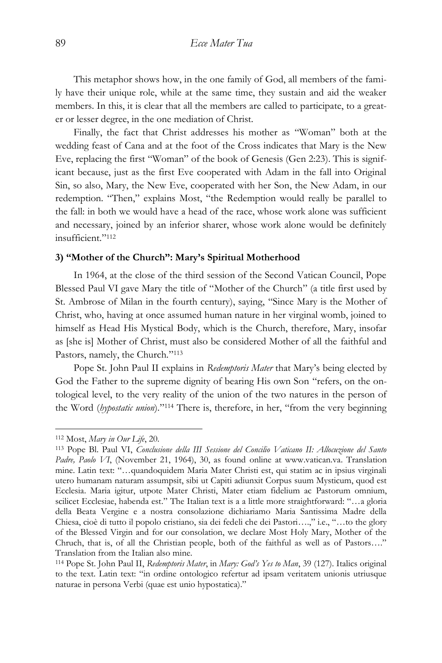This metaphor shows how, in the one family of God, all members of the family have their unique role, while at the same time, they sustain and aid the weaker members. In this, it is clear that all the members are called to participate, to a greater or lesser degree, in the one mediation of Christ.

Finally, the fact that Christ addresses his mother as "Woman" both at the wedding feast of Cana and at the foot of the Cross indicates that Mary is the New Eve, replacing the first "Woman" of the book of Genesis (Gen 2:23). This is significant because, just as the first Eve cooperated with Adam in the fall into Original Sin, so also, Mary, the New Eve, cooperated with her Son, the New Adam, in our redemption. "Then," explains Most, "the Redemption would really be parallel to the fall: in both we would have a head of the race, whose work alone was sufficient and necessary, joined by an inferior sharer, whose work alone would be definitely insufficient." 112

#### **3) "Mother of the Church": Mary's Spiritual Motherhood**

In 1964, at the close of the third session of the Second Vatican Council, Pope Blessed Paul VI gave Mary the title of "Mother of the Church" (a title first used by St. Ambrose of Milan in the fourth century), saying, "Since Mary is the Mother of Christ, who, having at once assumed human nature in her virginal womb, joined to himself as Head His Mystical Body, which is the Church, therefore, Mary, insofar as [she is] Mother of Christ, must also be considered Mother of all the faithful and Pastors, namely, the Church."<sup>113</sup>

Pope St. John Paul II explains in *Redemptoris Mater* that Mary's being elected by God the Father to the supreme dignity of bearing His own Son "refers, on the ontological level, to the very reality of the union of the two natures in the person of the Word (*hypostatic union*)." <sup>114</sup> There is, therefore, in her, "from the very beginning

<sup>112</sup> Most, *Mary in Our Life*, 20.

<sup>113</sup> Pope Bl. Paul VI, *Conclusione della III Sessione del Concilio Vaticano II: Allocuzione del Santo Padre, Paolo VI*, (November 21, 1964), 30, as found online at www.vatican.va. Translation mine. Latin text: "…quandoquidem Maria Mater Christi est, qui statim ac in ipsius virginali utero humanam naturam assumpsit, sibi ut Capiti adiunxit Corpus suum Mysticum, quod est Ecclesia. Maria igitur, utpote Mater Christi, Mater etiam fidelium ac Pastorum omnium, scilicet Ecclesiae, habenda est." The Italian text is a a little more straightforward: "…a gloria della Beata Vergine e a nostra consolazione dichiariamo Maria Santissima Madre della Chiesa, cioè di tutto il popolo cristiano, sia dei fedeli che dei Pastori….," i.e., "…to the glory of the Blessed Virgin and for our consolation, we declare Most Holy Mary, Mother of the Chruch, that is, of all the Christian people, both of the faithful as well as of Pastors…." Translation from the Italian also mine.

<sup>114</sup> Pope St. John Paul II, *Redemptoris Mater*, in *Mary: God's Yes to Man*, 39 (127). Italics original to the text. Latin text: "in ordine ontologico refertur ad ipsam veritatem unionis utriusque naturae in persona Verbi (quae est unio hypostatica)."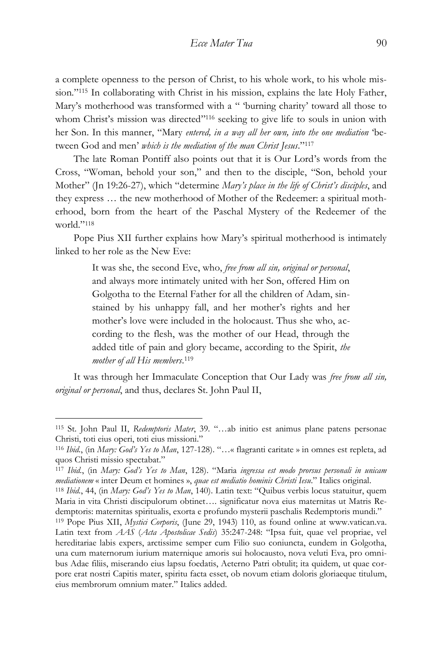a complete openness to the person of Christ, to his whole work, to his whole mission." <sup>115</sup> In collaborating with Christ in his mission, explains the late Holy Father, Mary's motherhood was transformed with a " 'burning charity' toward all those to whom Christ's mission was directed"<sup>116</sup> seeking to give life to souls in union with her Son. In this manner, "Mary *entered, in a way all her own, into the one mediation* 'between God and men' *which is the mediation of the man Christ Jesus*." 117

The late Roman Pontiff also points out that it is Our Lord's words from the Cross, "Woman, behold your son," and then to the disciple, "Son, behold your Mother" (Jn 19:26-27), which "determine *Mary's place in the life of Christ's disciples*, and they express … the new motherhood of Mother of the Redeemer: a spiritual motherhood, born from the heart of the Paschal Mystery of the Redeemer of the world." 118

Pope Pius XII further explains how Mary's spiritual motherhood is intimately linked to her role as the New Eve:

> It was she, the second Eve, who, *free from all sin, original or personal*, and always more intimately united with her Son, offered Him on Golgotha to the Eternal Father for all the children of Adam, sinstained by his unhappy fall, and her mother's rights and her mother's love were included in the holocaust. Thus she who, according to the flesh, was the mother of our Head, through the added title of pain and glory became, according to the Spirit, *the mother of all His members*. 119

It was through her Immaculate Conception that Our Lady was *free from all sin, original or personal*, and thus, declares St. John Paul II,

<sup>115</sup> St. John Paul II, *Redemptoris Mater*, 39*.* "…ab initio est animus plane patens personae Christi, toti eius operi, toti eius missioni."

<sup>116</sup> *Ibid.*, (in *Mary: God's Yes to Man*, 127-128). "…« flagranti caritate » in omnes est repleta, ad quos Christi missio spectabat."

<sup>117</sup> *Ibid.*, (in *Mary: God's Yes to Man*, 128). "Maria *ingressa est modo prorsus personali in unicam mediationem* « inter Deum et homines », *quae est mediatio hominis Christi Iesu*." Italics original. <sup>118</sup> *Ibid.*, 44, (in *Mary: God's Yes to Man*, 140). Latin text: "Quibus verbis locus statuitur, quem Maria in vita Christi discipulorum obtinet…. significatur nova eius maternitas ut Matris Re-

demptoris: maternitas spiritualis, exorta e profundo mysterii paschalis Redemptoris mundi."

<sup>119</sup> Pope Pius XII, *Mystici Corporis*, (June 29, 1943) 110, as found online at www.vatican.va. Latin text from *AAS* (*Acta Apostolicae Sedis*) 35:247-248: "Ipsa fuit, quae vel propriae, vel hereditariae labis expers, arctissime semper cum Filio suo coniuncta, eundem in Golgotha, una cum maternorum iurium maternique amoris sui holocausto, nova veluti Eva, pro omnibus Adae filiis, miserando eius lapsu foedatis, Aeterno Patri obtulit; ita quidem, ut quae corpore erat nostri Capitis mater, spiritu facta esset, ob novum etiam doloris gloriaeque titulum, eius membrorum omnium mater." Italics added.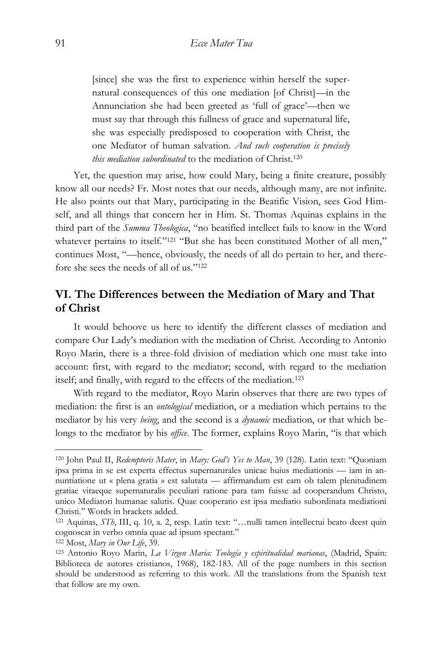[since] she was the first to experience within herself the supernatural consequences of this one mediation [of Christ]—in the Annunciation she had been greeted as 'full of grace'—then we must say that through this fullness of grace and supernatural life, she was especially predisposed to cooperation with Christ, the one Mediator of human salvation. *And such cooperation is precisely this mediation subordinated* to the mediation of Christ.<sup>120</sup>

Yet, the question may arise, how could Mary, being a finite creature, possibly know all our needs? Fr. Most notes that our needs, although many, are not infinite. He also points out that Mary, participating in the Beatific Vision, sees God Himself, and all things that concern her in Him. St. Thomas Aquinas explains in the third part of the *Summa Theologica*, "no beatified intellect fails to know in the Word whatever pertains to itself."<sup>121</sup> "But she has been constituted Mother of all men," continues Most, "—hence, obviously, the needs of all do pertain to her, and therefore she sees the needs of all of us." 122

## **VI. The Differences between the Mediation of Mary and That of Christ**

It would behoove us here to identify the different classes of mediation and compare Our Lady's mediation with the mediation of Christ. According to Antonio Royo Marin, there is a three-fold division of mediation which one must take into account: first, with regard to the mediator; second, with regard to the mediation itself; and finally, with regard to the effects of the mediation.<sup>123</sup>

With regard to the mediator, Royo Marin observes that there are two types of mediation: the first is an *ontological* mediation, or a mediation which pertains to the mediator by his very *being*, and the second is a *dynamic* mediation, or that which belongs to the mediator by his *office*. The former, explains Royo Marin, "is that which

<sup>120</sup> John Paul II, *Redemptoris Mater*, in *Mary: God's Yes to Man*, 39 (128). Latin text: "Quoniam ipsa prima in se est experta effectus supernaturales unicae huius mediationis — iam in annuntiatione ut « plena gratia » est salutata — affirmandum est eam ob talem plenitudinem gratiae vitaeque supernaturalis peculiari ratione para tam fuisse ad cooperandum Christo, unico Mediatori humanae salutis. Quae cooperatio est ipsa mediatio subordinata mediationi Christi." Words in brackets added.

<sup>121</sup> Aquinas, *STh*, III, q. 10, a. 2, resp. Latin text: "…nulli tamen intellectui beato deest quin cognoscat in verbo omnia quae ad ipsum spectant."

<sup>122</sup> Most, *Mary in Our Life*, 39.

<sup>123</sup> Antonio Royo Marin, *La Virgen Maria: Teología y espiritualidad marianas*, (Madrid, Spain: Biblioteca de autores cristianos, 1968), 182-183. All of the page numbers in this section should be understood as referring to this work. All the translations from the Spanish text that follow are my own.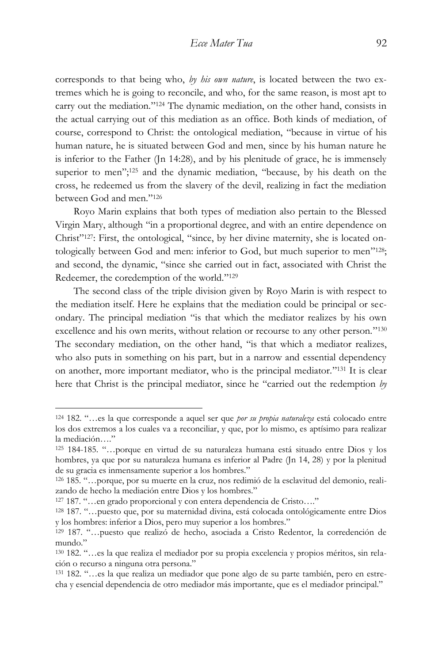corresponds to that being who, *by his own nature*, is located between the two extremes which he is going to reconcile, and who, for the same reason, is most apt to carry out the mediation." <sup>124</sup> The dynamic mediation, on the other hand, consists in the actual carrying out of this mediation as an office. Both kinds of mediation, of course, correspond to Christ: the ontological mediation, "because in virtue of his human nature, he is situated between God and men, since by his human nature he is inferior to the Father (Jn 14:28), and by his plenitude of grace, he is immensely superior to men"; <sup>125</sup> and the dynamic mediation, "because, by his death on the cross, he redeemed us from the slavery of the devil, realizing in fact the mediation between God and men." 126

Royo Marin explains that both types of mediation also pertain to the Blessed Virgin Mary, although "in a proportional degree, and with an entire dependence on Christ" 127: First, the ontological, "since, by her divine maternity, she is located ontologically between God and men: inferior to God, but much superior to men"<sup>128</sup>; and second, the dynamic, "since she carried out in fact, associated with Christ the Redeemer, the coredemption of the world." 129

The second class of the triple division given by Royo Marin is with respect to the mediation itself. Here he explains that the mediation could be principal or secondary. The principal mediation "is that which the mediator realizes by his own excellence and his own merits, without relation or recourse to any other person."130 The secondary mediation, on the other hand, "is that which a mediator realizes, who also puts in something on his part, but in a narrow and essential dependency on another, more important mediator, who is the principal mediator." <sup>131</sup> It is clear here that Christ is the principal mediator, since he "carried out the redemption *by* 

<sup>124</sup> 182. "…es la que corresponde a aquel ser que *por su propia naturaleza* está colocado entre los dos extremos a los cuales va a reconciliar, y que, por lo mismo, es aptísimo para realizar la mediación…."

<sup>125</sup> 184-185. "…porque en virtud de su naturaleza humana está situado entre Dios y los hombres, ya que por su naturaleza humana es inferior al Padre (Jn 14, 28) y por la plenitud de su gracia es inmensamente superior a los hombres."

<sup>126</sup> 185. "…porque, por su muerte en la cruz, nos redimió de la esclavitud del demonio, realizando de hecho la mediación entre Dios y los hombres."

<sup>127</sup> 187. "…en grado proporcional y con entera dependencia de Cristo…."

<sup>128</sup> 187. "…puesto que, por su maternidad divina, está colocada ontológicamente entre Dios y los hombres: inferior a Dios, pero muy superior a los hombres."

<sup>129</sup> 187. "…puesto que realizó de hecho, asociada a Cristo Redentor, la corredención de mundo."

<sup>130</sup> 182. "…es la que realiza el mediador por su propia excelencia y propios méritos, sin relación o recurso a ninguna otra persona."

<sup>131</sup> 182. "…es la que realiza un mediador que pone algo de su parte también, pero en estrecha y esencial dependencia de otro mediador más importante, que es el mediador principal."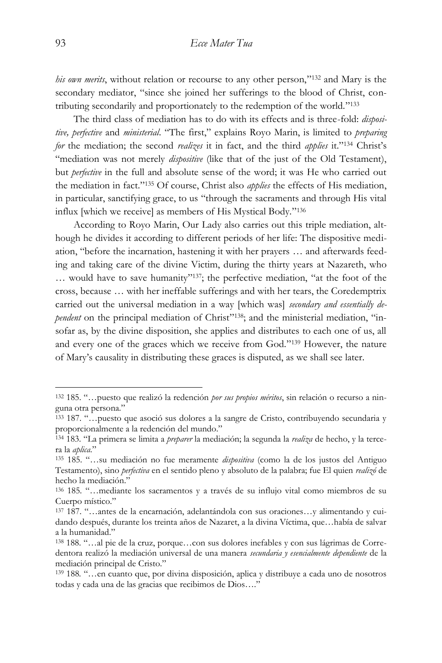his own merits, without relation or recourse to any other person,"<sup>132</sup> and Mary is the secondary mediator, "since she joined her sufferings to the blood of Christ, contributing secondarily and proportionately to the redemption of the world."<sup>133</sup>

The third class of mediation has to do with its effects and is three-fold: *dispositive, perfective* and *ministerial*. "The first," explains Royo Marin, is limited to *preparing for* the mediation; the second *realizes* it in fact, and the third *applies* it." <sup>134</sup> Christ's "mediation was not merely *dispositive* (like that of the just of the Old Testament), but *perfective* in the full and absolute sense of the word; it was He who carried out the mediation in fact." <sup>135</sup> Of course, Christ also *applies* the effects of His mediation, in particular, sanctifying grace, to us "through the sacraments and through His vital influx [which we receive] as members of His Mystical Body." 136

According to Royo Marin, Our Lady also carries out this triple mediation, although he divides it according to different periods of her life: The dispositive mediation, "before the incarnation, hastening it with her prayers … and afterwards feeding and taking care of the divine Victim, during the thirty years at Nazareth, who ... would have to save humanity"<sup>137</sup>; the perfective mediation, "at the foot of the cross, because … with her ineffable sufferings and with her tears, the Coredemptrix carried out the universal mediation in a way [which was] *secondary and essentially de*pendent on the principal mediation of Christ"<sup>138</sup>; and the ministerial mediation, "insofar as, by the divine disposition, she applies and distributes to each one of us, all and every one of the graces which we receive from God." <sup>139</sup> However, the nature of Mary's causality in distributing these graces is disputed, as we shall see later.

<sup>132</sup> 185. "…puesto que realizó la redención *por sus propios méritos*, sin relación o recurso a ninguna otra persona."

<sup>133</sup> 187. "…puesto que asoció sus dolores a la sangre de Cristo, contribuyendo secundaria y proporcionalmente a la redención del mundo."

<sup>134</sup> 183. "La primera se limita a *preparer* la mediación; la segunda la *realiza* de hecho, y la tercera la *aplica*."

<sup>135</sup> 185. "…su mediación no fue meramente *dispositiva* (como la de los justos del Antiguo Testamento), sino *perfectiva* en el sentido pleno y absoluto de la palabra; fue El quien *realizó* de hecho la mediación."

<sup>136</sup> 185*.* "…mediante los sacramentos y a través de su influjo vital como miembros de su Cuerpo místico."

<sup>137</sup> 187. "…antes de la encarnación, adelantándola con sus oraciones…y alimentando y cuidando después, durante los treinta años de Nazaret, a la divina Víctima, que…había de salvar a la humanidad."

<sup>138</sup> 188. "…al pie de la cruz, porque…con sus dolores inefables y con sus lágrimas de Corredentora realizó la mediación universal de una manera *secundaria y esencialmente dependiente* de la mediación principal de Cristo."

<sup>139</sup> 188*.* "…en cuanto que, por divina disposición, aplica y distribuye a cada uno de nosotros todas y cada una de las gracias que recibimos de Dios…."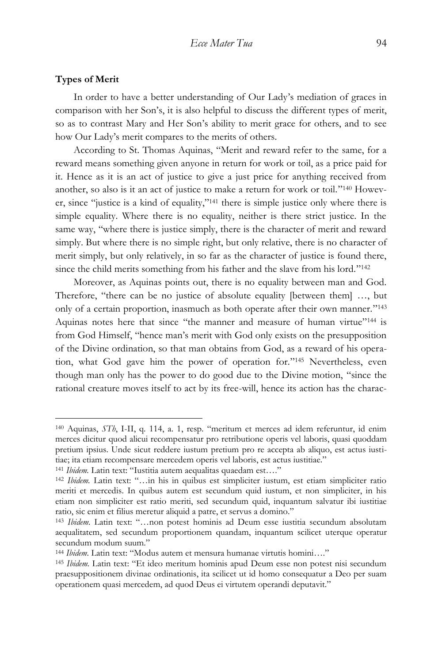#### **Types of Merit**

 $\overline{a}$ 

In order to have a better understanding of Our Lady's mediation of graces in comparison with her Son's, it is also helpful to discuss the different types of merit, so as to contrast Mary and Her Son's ability to merit grace for others, and to see how Our Lady's merit compares to the merits of others.

According to St. Thomas Aquinas, "Merit and reward refer to the same, for a reward means something given anyone in return for work or toil, as a price paid for it. Hence as it is an act of justice to give a just price for anything received from another, so also is it an act of justice to make a return for work or toil."<sup>140</sup> However, since "justice is a kind of equality," <sup>141</sup> there is simple justice only where there is simple equality. Where there is no equality, neither is there strict justice. In the same way, "where there is justice simply, there is the character of merit and reward simply. But where there is no simple right, but only relative, there is no character of merit simply, but only relatively, in so far as the character of justice is found there, since the child merits something from his father and the slave from his lord."<sup>142</sup>

Moreover, as Aquinas points out, there is no equality between man and God. Therefore, "there can be no justice of absolute equality [between them] …, but only of a certain proportion, inasmuch as both operate after their own manner." 143 Aquinas notes here that since "the manner and measure of human virtue"<sup>144</sup> is from God Himself, "hence man's merit with God only exists on the presupposition of the Divine ordination, so that man obtains from God, as a reward of his operation, what God gave him the power of operation for." <sup>145</sup> Nevertheless, even though man only has the power to do good due to the Divine motion, "since the rational creature moves itself to act by its free-will, hence its action has the charac-

<sup>140</sup> Aquinas, *STh*, I-II, q. 114, a. 1, resp. "meritum et merces ad idem referuntur, id enim merces dicitur quod alicui recompensatur pro retributione operis vel laboris, quasi quoddam pretium ipsius. Unde sicut reddere iustum pretium pro re accepta ab aliquo, est actus iustitiae; ita etiam recompensare mercedem operis vel laboris, est actus iustitiae."

<sup>141</sup> *Ibidem.* Latin text: "Iustitia autem aequalitas quaedam est…."

<sup>142</sup> *Ibidem.* Latin text: "…in his in quibus est simpliciter iustum, est etiam simpliciter ratio meriti et mercedis. In quibus autem est secundum quid iustum, et non simpliciter, in his etiam non simpliciter est ratio meriti, sed secundum quid, inquantum salvatur ibi iustitiae ratio, sic enim et filius meretur aliquid a patre, et servus a domino."

<sup>143</sup> *Ibidem.* Latin text: "…non potest hominis ad Deum esse iustitia secundum absolutam aequalitatem, sed secundum proportionem quandam, inquantum scilicet uterque operatur secundum modum suum."

<sup>144</sup> *Ibidem*. Latin text: "Modus autem et mensura humanae virtutis homini…."

<sup>145</sup> *Ibidem.* Latin text: "Et ideo meritum hominis apud Deum esse non potest nisi secundum praesuppositionem divinae ordinationis, ita scilicet ut id homo consequatur a Deo per suam operationem quasi mercedem, ad quod Deus ei virtutem operandi deputavit."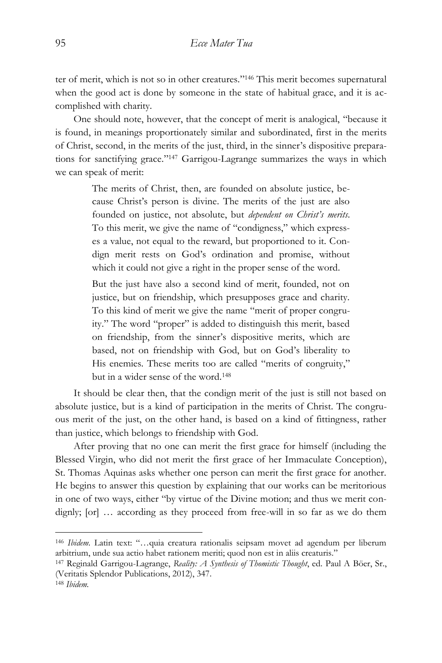ter of merit, which is not so in other creatures." <sup>146</sup> This merit becomes supernatural when the good act is done by someone in the state of habitual grace, and it is accomplished with charity.

One should note, however, that the concept of merit is analogical, "because it is found, in meanings proportionately similar and subordinated, first in the merits of Christ, second, in the merits of the just, third, in the sinner's dispositive preparations for sanctifying grace." <sup>147</sup> Garrigou-Lagrange summarizes the ways in which we can speak of merit:

> The merits of Christ, then, are founded on absolute justice, because Christ's person is divine. The merits of the just are also founded on justice, not absolute, but *dependent on Christ's merits*. To this merit, we give the name of "condigness," which expresses a value, not equal to the reward, but proportioned to it. Condign merit rests on God's ordination and promise, without which it could not give a right in the proper sense of the word.

> But the just have also a second kind of merit, founded, not on justice, but on friendship, which presupposes grace and charity. To this kind of merit we give the name "merit of proper congruity." The word "proper" is added to distinguish this merit, based on friendship, from the sinner's dispositive merits, which are based, not on friendship with God, but on God's liberality to His enemies. These merits too are called "merits of congruity," but in a wider sense of the word.<sup>148</sup>

It should be clear then, that the condign merit of the just is still not based on absolute justice, but is a kind of participation in the merits of Christ. The congruous merit of the just, on the other hand, is based on a kind of fittingness, rather than justice, which belongs to friendship with God.

After proving that no one can merit the first grace for himself (including the Blessed Virgin, who did not merit the first grace of her Immaculate Conception), St. Thomas Aquinas asks whether one person can merit the first grace for another. He begins to answer this question by explaining that our works can be meritorious in one of two ways, either "by virtue of the Divine motion; and thus we merit condignly; [or] … according as they proceed from free-will in so far as we do them

<sup>146</sup> *Ibidem.* Latin text: "…quia creatura rationalis seipsam movet ad agendum per liberum arbitrium, unde sua actio habet rationem meriti; quod non est in aliis creaturis."

<sup>147</sup> Reginald Garrigou-Lagrange, *Reality: A Synthesis of Thomistic Thought*, ed. Paul A Böer, Sr., (Veritatis Splendor Publications, 2012), 347.

<sup>148</sup> *Ibidem.*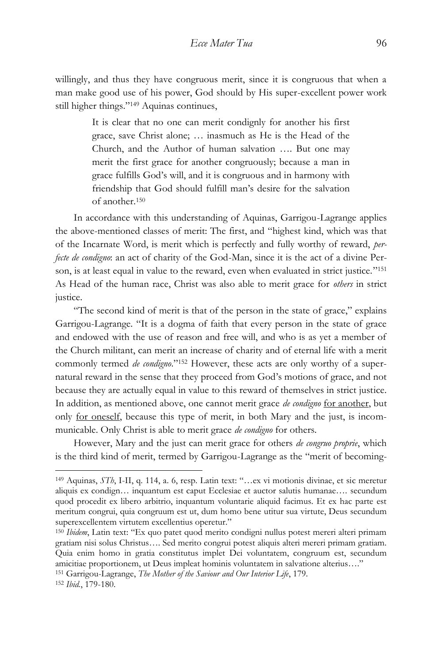willingly, and thus they have congruous merit, since it is congruous that when a man make good use of his power, God should by His super-excellent power work still higher things." <sup>149</sup> Aquinas continues,

> It is clear that no one can merit condignly for another his first grace, save Christ alone; … inasmuch as He is the Head of the Church, and the Author of human salvation …. But one may merit the first grace for another congruously; because a man in grace fulfills God's will, and it is congruous and in harmony with friendship that God should fulfill man's desire for the salvation of another.<sup>150</sup>

In accordance with this understanding of Aquinas, Garrigou-Lagrange applies the above-mentioned classes of merit: The first, and "highest kind, which was that of the Incarnate Word, is merit which is perfectly and fully worthy of reward, *perfecte de condigno*: an act of charity of the God-Man, since it is the act of a divine Person, is at least equal in value to the reward, even when evaluated in strict justice." 151 As Head of the human race, Christ was also able to merit grace for *others* in strict justice.

"The second kind of merit is that of the person in the state of grace," explains Garrigou-Lagrange. "It is a dogma of faith that every person in the state of grace and endowed with the use of reason and free will, and who is as yet a member of the Church militant, can merit an increase of charity and of eternal life with a merit commonly termed *de condigno*." <sup>152</sup> However, these acts are only worthy of a supernatural reward in the sense that they proceed from God's motions of grace, and not because they are actually equal in value to this reward of themselves in strict justice. In addition, as mentioned above, one cannot merit grace *de condigno* for another, but only for oneself, because this type of merit, in both Mary and the just, is incommunicable. Only Christ is able to merit grace *de condigno* for others.

However, Mary and the just can merit grace for others *de congruo proprie*, which is the third kind of merit, termed by Garrigou-Lagrange as the "merit of becoming-

<sup>149</sup> Aquinas, *STh*, I-II, q. 114, a. 6, resp. Latin text: "…ex vi motionis divinae, et sic meretur aliquis ex condign… inquantum est caput Ecclesiae et auctor salutis humanae…. secundum quod procedit ex libero arbitrio, inquantum voluntarie aliquid facimus. Et ex hac parte est meritum congrui, quia congruum est ut, dum homo bene utitur sua virtute, Deus secundum superexcellentem virtutem excellentius operetur."

<sup>150</sup> *Ibidem*, Latin text: "Ex quo patet quod merito condigni nullus potest mereri alteri primam gratiam nisi solus Christus…. Sed merito congrui potest aliquis alteri mereri primam gratiam. Quia enim homo in gratia constitutus implet Dei voluntatem, congruum est, secundum amicitiae proportionem, ut Deus impleat hominis voluntatem in salvatione alterius…."

<sup>151</sup> Garrigou-Lagrange, *The Mother of the Saviour and Our Interior Life*, 179.

<sup>152</sup> *Ibid.*, 179-180.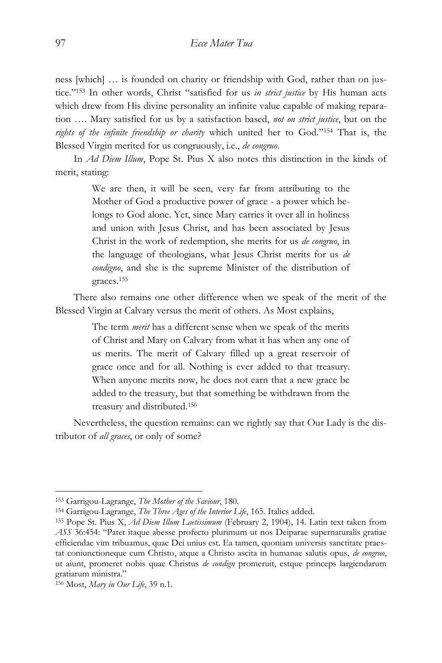ness [which] … is founded on charity or friendship with God, rather than on justice." <sup>153</sup> In other words, Christ "satisfied for us *in strict justice* by His human acts which drew from His divine personality an infinite value capable of making reparation …. Mary satisfied for us by a satisfaction based, *not on strict justice*, but on the *rights of the infinite friendship or charity* which united her to God." <sup>154</sup> That is, the Blessed Virgin merited for us congruously, i.e., *de congruo*.

In *Ad Diem Illum*, Pope St. Pius X also notes this distinction in the kinds of merit, stating:

> We are then, it will be seen, very far from attributing to the Mother of God a productive power of grace - a power which belongs to God alone. Yet, since Mary carries it over all in holiness and union with Jesus Christ, and has been associated by Jesus Christ in the work of redemption, she merits for us *de congruo*, in the language of theologians, what Jesus Christ merits for us *de condigno*, and she is the supreme Minister of the distribution of graces.<sup>155</sup>

There also remains one other difference when we speak of the merit of the Blessed Virgin at Calvary versus the merit of others. As Most explains,

> The term *merit* has a different sense when we speak of the merits of Christ and Mary on Calvary from what it has when any one of us merits. The merit of Calvary filled up a great reservoir of grace once and for all. Nothing is ever added to that treasury. When anyone merits now, he does not earn that a new grace be added to the treasury, but that something be withdrawn from the treasury and distributed.<sup>156</sup>

Nevertheless, the question remains: can we rightly say that Our Lady is the distributor of *all graces*, or only of some?

<sup>153</sup> Garrigou-Lagrange, *The Mother of the Saviour*, 180.

<sup>154</sup> Garrigou-Lagrange, *The Three Ages of the Interior Life*, 165. Italics added.

<sup>155</sup> Pope St. Pius X, *Ad Diem Illum Laetissimum* (February 2, 1904), 14. Latin text taken from *ASS* 36:454: "Patet itaque abesse profecto plurimum ut nos Deiparae supernaturalis gratiae efficiendae vim tribuamus, quae Dei unius est. Ea tamen, quoniam universis sanctitate praestat coniunctioneque cum Christo, atque a Christo ascita in humanae salutis opus, *de congruo*, ut aiunt, promeret nobis quae Christus *de condign* promeruit, estque princeps largiendarum gratiarum ministra."

<sup>156</sup> Most, *Mary in Our Life*, 39 n.1.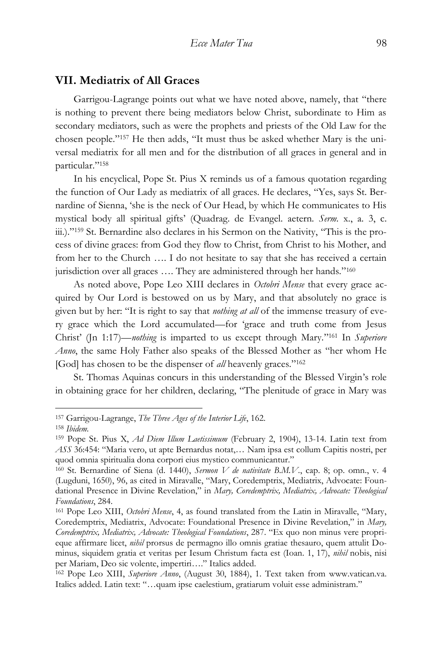## **VII. Mediatrix of All Graces**

Garrigou-Lagrange points out what we have noted above, namely, that "there is nothing to prevent there being mediators below Christ, subordinate to Him as secondary mediators, such as were the prophets and priests of the Old Law for the chosen people." <sup>157</sup> He then adds, "It must thus be asked whether Mary is the universal mediatrix for all men and for the distribution of all graces in general and in particular." 158

In his encyclical, Pope St. Pius X reminds us of a famous quotation regarding the function of Our Lady as mediatrix of all graces. He declares, "Yes, says St. Bernardine of Sienna, 'she is the neck of Our Head, by which He communicates to His mystical body all spiritual gifts' (Quadrag. de Evangel. aetern. *Serm.* x., a. 3, c. iii.)."<sup>159</sup> St. Bernardine also declares in his Sermon on the Nativity, "This is the process of divine graces: from God they flow to Christ, from Christ to his Mother, and from her to the Church …. I do not hesitate to say that she has received a certain jurisdiction over all graces .... They are administered through her hands."<sup>160</sup>

As noted above, Pope Leo XIII declares in *Octobri Mense* that every grace acquired by Our Lord is bestowed on us by Mary, and that absolutely no grace is given but by her: "It is right to say that *nothing at all* of the immense treasury of every grace which the Lord accumulated—for 'grace and truth come from Jesus Christ' (Jn 1:17)—*nothing* is imparted to us except through Mary." <sup>161</sup> In *Superiore Anno*, the same Holy Father also speaks of the Blessed Mother as "her whom He [God] has chosen to be the dispenser of *all* heavenly graces."<sup>162</sup>

St. Thomas Aquinas concurs in this understanding of the Blessed Virgin's role in obtaining grace for her children, declaring, "The plenitude of grace in Mary was

<sup>157</sup> Garrigou-Lagrange, *The Three Ages of the Interior Life*, 162.

<sup>158</sup> *Ibidem.*

<sup>159</sup> Pope St. Pius X, *Ad Diem Illum Laetissimum* (February 2, 1904), 13-14. Latin text from *ASS* 36:454: "Maria vero, ut apte Bernardus notat,… Nam ipsa est collum Capitis nostri, per quod omnia spiritualia dona corpori eius mystico communicantur."

<sup>160</sup> St. Bernardine of Siena (d. 1440), *Sermon V de nativitate B.M.V.*, cap. 8; op. omn., v. 4 (Lugduni, 1650), 96, as cited in Miravalle, "Mary, Coredemptrix, Mediatrix, Advocate: Foundational Presence in Divine Revelation," in *Mary, Coredemptrix, Mediatrix, Advocate: Theological Foundations*, 284.

<sup>161</sup> Pope Leo XIII, *Octobri Mense*, 4, as found translated from the Latin in Miravalle, "Mary, Coredemptrix, Mediatrix, Advocate: Foundational Presence in Divine Revelation," in *Mary, Coredemptrix, Mediatrix, Advocate: Theological Foundations*, 287. "Ex quo non minus vere proprieque affirmare licet, *nihil* prorsus de permagno illo omnis gratiae thesauro, quem attulit Dominus, siquidem gratia et veritas per Iesum Christum facta est (Ioan. 1, 17), *nihil* nobis, nisi per Mariam, Deo sic volente, impertiri…." Italics added.

<sup>162</sup> Pope Leo XIII, *Superiore Anno*, (August 30, 1884), 1. Text taken from www.vatican.va. Italics added. Latin text: "…quam ipse caelestium, gratiarum voluit esse administram."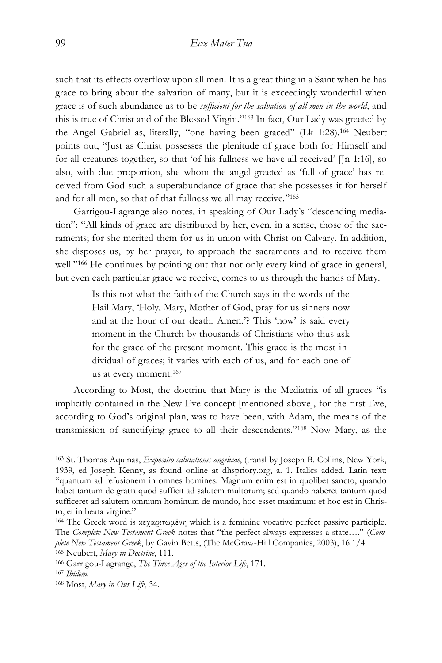such that its effects overflow upon all men. It is a great thing in a Saint when he has grace to bring about the salvation of many, but it is exceedingly wonderful when grace is of such abundance as to be *sufficient for the salvation of all men in the world*, and this is true of Christ and of the Blessed Virgin." <sup>163</sup> In fact, Our Lady was greeted by the Angel Gabriel as, literally, "one having been graced" (Lk 1:28).<sup>164</sup> Neubert points out, "Just as Christ possesses the plenitude of grace both for Himself and for all creatures together, so that 'of his fullness we have all received' [Jn 1:16], so also, with due proportion, she whom the angel greeted as 'full of grace' has received from God such a superabundance of grace that she possesses it for herself and for all men, so that of that fullness we all may receive." 165

Garrigou-Lagrange also notes, in speaking of Our Lady's "descending mediation": "All kinds of grace are distributed by her, even, in a sense, those of the sacraments; for she merited them for us in union with Christ on Calvary. In addition, she disposes us, by her prayer, to approach the sacraments and to receive them well."<sup>166</sup> He continues by pointing out that not only every kind of grace in general, but even each particular grace we receive, comes to us through the hands of Mary.

> Is this not what the faith of the Church says in the words of the Hail Mary, 'Holy, Mary, Mother of God, pray for us sinners now and at the hour of our death. Amen.'? This 'now' is said every moment in the Church by thousands of Christians who thus ask for the grace of the present moment. This grace is the most individual of graces; it varies with each of us, and for each one of us at every moment.<sup>167</sup>

According to Most, the doctrine that Mary is the Mediatrix of all graces "is implicitly contained in the New Eve concept [mentioned above], for the first Eve, according to God's original plan, was to have been, with Adam, the means of the transmission of sanctifying grace to all their descendents." <sup>168</sup> Now Mary, as the

<sup>163</sup> St. Thomas Aquinas, *Expositio salutationis angelicae*, (transl by Joseph B. Collins, New York, 1939, ed Joseph Kenny, as found online at dhspriory.org, a. 1. Italics added. Latin text: "quantum ad refusionem in omnes homines. Magnum enim est in quolibet sancto, quando habet tantum de gratia quod sufficit ad salutem multorum; sed quando haberet tantum quod sufficeret ad salutem omnium hominum de mundo, hoc esset maximum: et hoc est in Christo, et in beata virgine."

<sup>164</sup> The Greek word is κεχαριτωμένη which is a feminine vocative perfect passive participle. The *Complete New Testament Greek* notes that "the perfect always expresses a state…." (*Complete New Testament Greek*, by Gavin Betts, (The McGraw-Hill Companies, 2003), 16.1/4.

<sup>165</sup> Neubert, *Mary in Doctrine*, 111.

<sup>166</sup> Garrigou-Lagrange, *The Three Ages of the Interior Life*, 171.

<sup>167</sup> *Ibidem.*

<sup>168</sup> Most, *Mary in Our Life*, 34.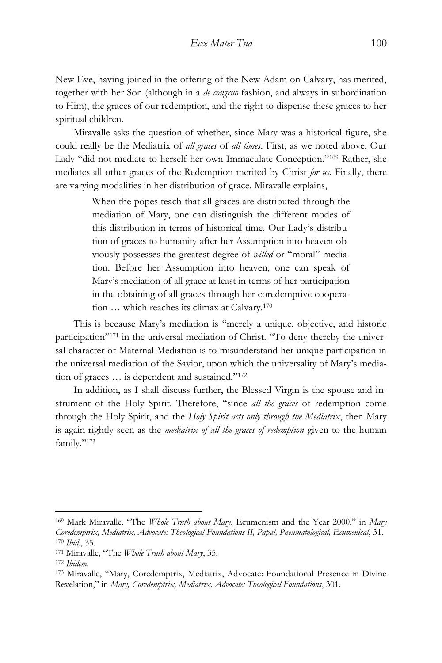New Eve, having joined in the offering of the New Adam on Calvary, has merited, together with her Son (although in a *de congruo* fashion, and always in subordination to Him), the graces of our redemption, and the right to dispense these graces to her spiritual children.

Miravalle asks the question of whether, since Mary was a historical figure, she could really be the Mediatrix of *all graces* of *all times*. First, as we noted above, Our Lady "did not mediate to herself her own Immaculate Conception." <sup>169</sup> Rather, she mediates all other graces of the Redemption merited by Christ *for us.* Finally, there are varying modalities in her distribution of grace. Miravalle explains,

> When the popes teach that all graces are distributed through the mediation of Mary, one can distinguish the different modes of this distribution in terms of historical time. Our Lady's distribution of graces to humanity after her Assumption into heaven obviously possesses the greatest degree of *willed* or "moral" mediation. Before her Assumption into heaven, one can speak of Mary's mediation of all grace at least in terms of her participation in the obtaining of all graces through her coredemptive cooperation … which reaches its climax at Calvary.<sup>170</sup>

This is because Mary's mediation is "merely a unique, objective, and historic participation" <sup>171</sup> in the universal mediation of Christ. "To deny thereby the universal character of Maternal Mediation is to misunderstand her unique participation in the universal mediation of the Savior, upon which the universality of Mary's mediation of graces … is dependent and sustained." 172

In addition, as I shall discuss further, the Blessed Virgin is the spouse and instrument of the Holy Spirit. Therefore, "since *all the graces* of redemption come through the Holy Spirit, and the *Holy Spirit acts only through the Mediatrix*, then Mary is again rightly seen as the *mediatrix of all the graces of redemption* given to the human family." 173

<sup>169</sup> Mark Miravalle, "The *Whole Truth about Mary*, Ecumenism and the Year 2000," in *Mary Coredemptrix, Mediatrix, Advocate: Theological Foundations II, Papal, Pneumatological, Ecumenical*, 31. <sup>170</sup> *Ibid.*, 35.

<sup>171</sup> Miravalle, "The *Whole Truth about Mary*, 35.

<sup>172</sup> *Ibidem.*

<sup>173</sup> Miravalle, "Mary, Coredemptrix, Mediatrix, Advocate: Foundational Presence in Divine Revelation," in *Mary, Coredemptrix, Mediatrix, Advocate: Theological Foundations*, 301.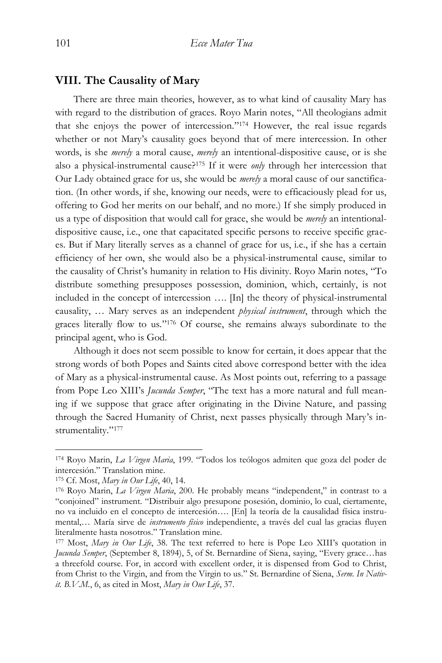## **VIII. The Causality of Mary**

There are three main theories, however, as to what kind of causality Mary has with regard to the distribution of graces. Royo Marin notes, "All theologians admit that she enjoys the power of intercession." <sup>174</sup> However, the real issue regards whether or not Mary's causality goes beyond that of mere intercession. In other words, is she *merely* a moral cause, *merely* an intentional-dispositive cause, or is she also a physical-instrumental cause?<sup>175</sup> If it were *only* through her intercession that Our Lady obtained grace for us, she would be *merely* a moral cause of our sanctification. (In other words, if she, knowing our needs, were to efficaciously plead for us, offering to God her merits on our behalf, and no more.) If she simply produced in us a type of disposition that would call for grace, she would be *merely* an intentionaldispositive cause, i.e., one that capacitated specific persons to receive specific graces. But if Mary literally serves as a channel of grace for us, i.e., if she has a certain efficiency of her own, she would also be a physical-instrumental cause, similar to the causality of Christ's humanity in relation to His divinity. Royo Marin notes, "To distribute something presupposes possession, dominion, which, certainly, is not included in the concept of intercession …. [In] the theory of physical-instrumental causality, … Mary serves as an independent *physical instrument*, through which the graces literally flow to us." <sup>176</sup> Of course, she remains always subordinate to the principal agent, who is God.

Although it does not seem possible to know for certain, it does appear that the strong words of both Popes and Saints cited above correspond better with the idea of Mary as a physical-instrumental cause. As Most points out, referring to a passage from Pope Leo XIII's *Jucunda Semper*, "The text has a more natural and full meaning if we suppose that grace after originating in the Divine Nature, and passing through the Sacred Humanity of Christ, next passes physically through Mary's instrumentality."<sup>177</sup>

<sup>174</sup> Royo Marin, *La Virgen Maria*, 199. "Todos los teólogos admiten que goza del poder de intercesión." Translation mine.

<sup>175</sup> Cf. Most, *Mary in Our Life*, 40, 14.

<sup>176</sup> Royo Marin, *La Virgen Maria*, 200. He probably means "independent," in contrast to a "conjoined" instrument. "Distribuir algo presupone posesión, dominio, lo cual, ciertamente, no va incluido en el concepto de intercesión…. [En] la teoría de la causalidad física instrumental,… María sirve de *instrumento físico* independiente, a través del cual las gracias fluyen literalmente hasta nosotros." Translation mine.

<sup>177</sup> Most, *Mary in Our Life*, 38. The text referred to here is Pope Leo XIII's quotation in *Jucunda Semper*, (September 8, 1894), 5, of St. Bernardine of Siena, saying, "Every grace…has a threefold course. For, in accord with excellent order, it is dispensed from God to Christ, from Christ to the Virgin, and from the Virgin to us." St. Bernardine of Siena, *Serm. In Nativit. B.V.M.*, 6, as cited in Most, *Mary in Our Life*, 37.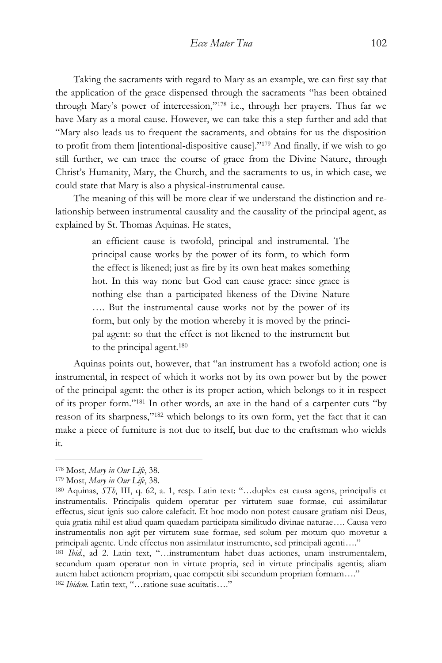Taking the sacraments with regard to Mary as an example, we can first say that the application of the grace dispensed through the sacraments "has been obtained through Mary's power of intercession," <sup>178</sup> i.e., through her prayers. Thus far we have Mary as a moral cause. However, we can take this a step further and add that "Mary also leads us to frequent the sacraments, and obtains for us the disposition to profit from them [intentional-dispositive cause]." <sup>179</sup> And finally, if we wish to go still further, we can trace the course of grace from the Divine Nature, through Christ's Humanity, Mary, the Church, and the sacraments to us, in which case, we could state that Mary is also a physical-instrumental cause.

The meaning of this will be more clear if we understand the distinction and relationship between instrumental causality and the causality of the principal agent, as explained by St. Thomas Aquinas. He states,

> an efficient cause is twofold, principal and instrumental. The principal cause works by the power of its form, to which form the effect is likened; just as fire by its own heat makes something hot. In this way none but God can cause grace: since grace is nothing else than a participated likeness of the Divine Nature …. But the instrumental cause works not by the power of its form, but only by the motion whereby it is moved by the principal agent: so that the effect is not likened to the instrument but to the principal agent.<sup>180</sup>

Aquinas points out, however, that "an instrument has a twofold action; one is instrumental, in respect of which it works not by its own power but by the power of the principal agent: the other is its proper action, which belongs to it in respect of its proper form." <sup>181</sup> In other words, an axe in the hand of a carpenter cuts "by reason of its sharpness," <sup>182</sup> which belongs to its own form, yet the fact that it can make a piece of furniture is not due to itself, but due to the craftsman who wields it.

<sup>178</sup> Most, *Mary in Our Life*, 38.

<sup>179</sup> Most, *Mary in Our Life*, 38.

<sup>180</sup> Aquinas, *STh*, III, q. 62, a. 1, resp. Latin text: "…duplex est causa agens, principalis et instrumentalis. Principalis quidem operatur per virtutem suae formae, cui assimilatur effectus, sicut ignis suo calore calefacit. Et hoc modo non potest causare gratiam nisi Deus, quia gratia nihil est aliud quam quaedam participata similitudo divinae naturae…. Causa vero instrumentalis non agit per virtutem suae formae, sed solum per motum quo movetur a principali agente. Unde effectus non assimilatur instrumento, sed principali agenti…."

<sup>181</sup> *Ibid.*, ad 2. Latin text, "…instrumentum habet duas actiones, unam instrumentalem, secundum quam operatur non in virtute propria, sed in virtute principalis agentis; aliam autem habet actionem propriam, quae competit sibi secundum propriam formam…." <sup>182</sup> *Ibidem.* Latin text, "…ratione suae acuitatis…."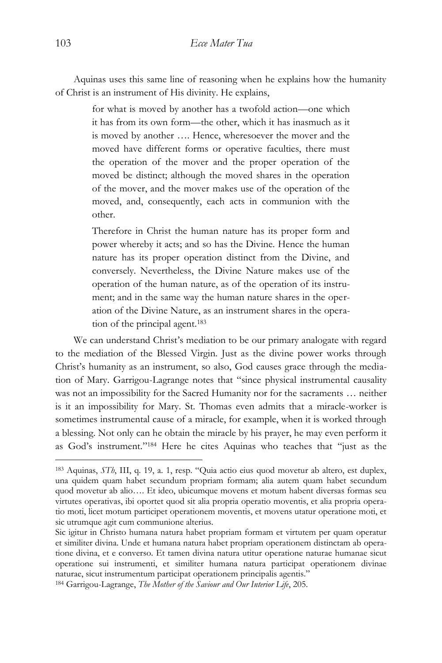Aquinas uses this same line of reasoning when he explains how the humanity of Christ is an instrument of His divinity. He explains,

> for what is moved by another has a twofold action—one which it has from its own form—the other, which it has inasmuch as it is moved by another …. Hence, wheresoever the mover and the moved have different forms or operative faculties, there must the operation of the mover and the proper operation of the moved be distinct; although the moved shares in the operation of the mover, and the mover makes use of the operation of the moved, and, consequently, each acts in communion with the other.

> Therefore in Christ the human nature has its proper form and power whereby it acts; and so has the Divine. Hence the human nature has its proper operation distinct from the Divine, and conversely. Nevertheless, the Divine Nature makes use of the operation of the human nature, as of the operation of its instrument; and in the same way the human nature shares in the operation of the Divine Nature, as an instrument shares in the operation of the principal agent.<sup>183</sup>

We can understand Christ's mediation to be our primary analogate with regard to the mediation of the Blessed Virgin. Just as the divine power works through Christ's humanity as an instrument, so also, God causes grace through the mediation of Mary. Garrigou-Lagrange notes that "since physical instrumental causality was not an impossibility for the Sacred Humanity nor for the sacraments … neither is it an impossibility for Mary. St. Thomas even admits that a miracle-worker is sometimes instrumental cause of a miracle, for example, when it is worked through a blessing. Not only can he obtain the miracle by his prayer, he may even perform it as God's instrument." <sup>184</sup> Here he cites Aquinas who teaches that "just as the

<sup>183</sup> Aquinas, *STh*, III, q. 19, a. 1, resp. "Quia actio eius quod movetur ab altero, est duplex, una quidem quam habet secundum propriam formam; alia autem quam habet secundum quod movetur ab alio…. Et ideo, ubicumque movens et motum habent diversas formas seu virtutes operativas, ibi oportet quod sit alia propria operatio moventis, et alia propria operatio moti, licet motum participet operationem moventis, et movens utatur operatione moti, et sic utrumque agit cum communione alterius.

Sic igitur in Christo humana natura habet propriam formam et virtutem per quam operatur et similiter divina. Unde et humana natura habet propriam operationem distinctam ab operatione divina, et e converso. Et tamen divina natura utitur operatione naturae humanae sicut operatione sui instrumenti, et similiter humana natura participat operationem divinae naturae, sicut instrumentum participat operationem principalis agentis."

<sup>184</sup> Garrigou-Lagrange, *The Mother of the Saviour and Our Interior Life*, 205.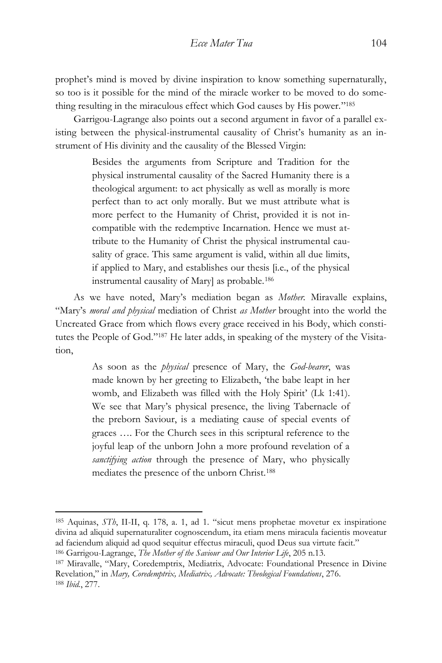prophet's mind is moved by divine inspiration to know something supernaturally, so too is it possible for the mind of the miracle worker to be moved to do something resulting in the miraculous effect which God causes by His power." 185

Garrigou-Lagrange also points out a second argument in favor of a parallel existing between the physical-instrumental causality of Christ's humanity as an instrument of His divinity and the causality of the Blessed Virgin:

> Besides the arguments from Scripture and Tradition for the physical instrumental causality of the Sacred Humanity there is a theological argument: to act physically as well as morally is more perfect than to act only morally. But we must attribute what is more perfect to the Humanity of Christ, provided it is not incompatible with the redemptive Incarnation. Hence we must attribute to the Humanity of Christ the physical instrumental causality of grace. This same argument is valid, within all due limits, if applied to Mary, and establishes our thesis [i.e., of the physical instrumental causality of Mary] as probable.<sup>186</sup>

As we have noted, Mary's mediation began as *Mother.* Miravalle explains, "Mary's *moral and physical* mediation of Christ *as Mother* brought into the world the Uncreated Grace from which flows every grace received in his Body, which constitutes the People of God." <sup>187</sup> He later adds, in speaking of the mystery of the Visitation,

> As soon as the *physical* presence of Mary, the *God-bearer*, was made known by her greeting to Elizabeth, 'the babe leapt in her womb, and Elizabeth was filled with the Holy Spirit' (Lk 1:41). We see that Mary's physical presence, the living Tabernacle of the preborn Saviour, is a mediating cause of special events of graces …. For the Church sees in this scriptural reference to the joyful leap of the unborn John a more profound revelation of a *sanctifying action* through the presence of Mary, who physically mediates the presence of the unborn Christ.<sup>188</sup>

<sup>185</sup> Aquinas, *STh*, II-II, q. 178, a. 1, ad 1. "sicut mens prophetae movetur ex inspiratione divina ad aliquid supernaturaliter cognoscendum, ita etiam mens miracula facientis moveatur ad faciendum aliquid ad quod sequitur effectus miraculi, quod Deus sua virtute facit."

<sup>186</sup> Garrigou-Lagrange, *The Mother of the Saviour and Our Interior Life*, 205 n.13.

<sup>187</sup> Miravalle, "Mary, Coredemptrix, Mediatrix, Advocate: Foundational Presence in Divine Revelation," in *Mary, Coredemptrix, Mediatrix, Advocate: Theological Foundations*, 276. <sup>188</sup> *Ibid.*, 277.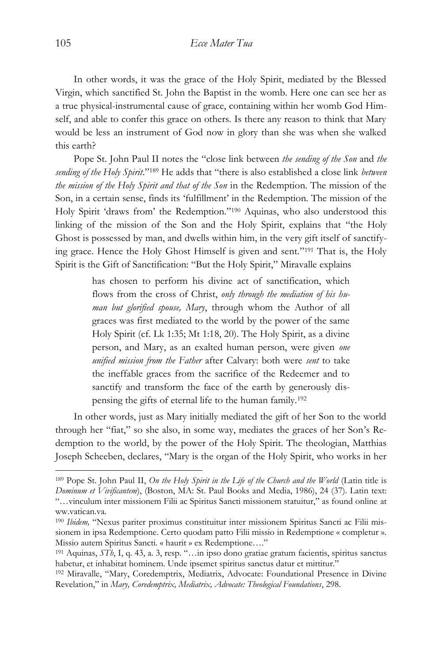In other words, it was the grace of the Holy Spirit, mediated by the Blessed Virgin, which sanctified St. John the Baptist in the womb. Here one can see her as a true physical-instrumental cause of grace, containing within her womb God Himself, and able to confer this grace on others. Is there any reason to think that Mary would be less an instrument of God now in glory than she was when she walked this earth?

Pope St. John Paul II notes the "close link between *the sending of the Son* and *the*  sending of the Holy Spirit."<sup>189</sup> He adds that "there is also established a close link *between the mission of the Holy Spirit and that of the Son* in the Redemption. The mission of the Son, in a certain sense, finds its 'fulfillment' in the Redemption. The mission of the Holy Spirit 'draws from' the Redemption." <sup>190</sup> Aquinas, who also understood this linking of the mission of the Son and the Holy Spirit, explains that "the Holy Ghost is possessed by man, and dwells within him, in the very gift itself of sanctifying grace. Hence the Holy Ghost Himself is given and sent." <sup>191</sup> That is, the Holy Spirit is the Gift of Sanctification: "But the Holy Spirit," Miravalle explains

> has chosen to perform his divine act of sanctification, which flows from the cross of Christ, *only through the mediation of his human but glorified spouse, Mary*, through whom the Author of all graces was first mediated to the world by the power of the same Holy Spirit (cf. Lk 1:35; Mt 1:18, 20). The Holy Spirit, as a divine person, and Mary, as an exalted human person, were given *one unified mission from the Father* after Calvary: both were *sent* to take the ineffable graces from the sacrifice of the Redeemer and to sanctify and transform the face of the earth by generously dispensing the gifts of eternal life to the human family.<sup>192</sup>

In other words, just as Mary initially mediated the gift of her Son to the world through her "fiat," so she also, in some way, mediates the graces of her Son's Redemption to the world, by the power of the Holy Spirit. The theologian, Matthias Joseph Scheeben, declares, "Mary is the organ of the Holy Spirit, who works in her

<sup>189</sup> Pope St. John Paul II, *On the Holy Spirit in the Life of the Church and the World* (Latin title is *Dominum et Vivificantem*), (Boston, MA: St. Paul Books and Media, 1986), 24 (37). Latin text: "…vinculum inter missionem Filii ac Spiritus Sancti missionem statuitur," as found online at ww.vatican.va.

<sup>190</sup> *Ibidem,* "Nexus pariter proximus constituitur inter missionem Spiritus Sancti ac Filii missionem in ipsa Redemptione. Certo quodam patto Filii missio in Redemptione « completur ». Missio autem Spiritus Sancti. « haurit » ex Redemptione…."

<sup>191</sup> Aquinas, *STh*, I, q. 43, a. 3, resp. "…in ipso dono gratiae gratum facientis, spiritus sanctus habetur, et inhabitat hominem. Unde ipsemet spiritus sanctus datur et mittitur."

<sup>192</sup> Miravalle, "Mary, Coredemptrix, Mediatrix, Advocate: Foundational Presence in Divine Revelation," in *Mary, Coredemptrix, Mediatrix, Advocate: Theological Foundations*, 298.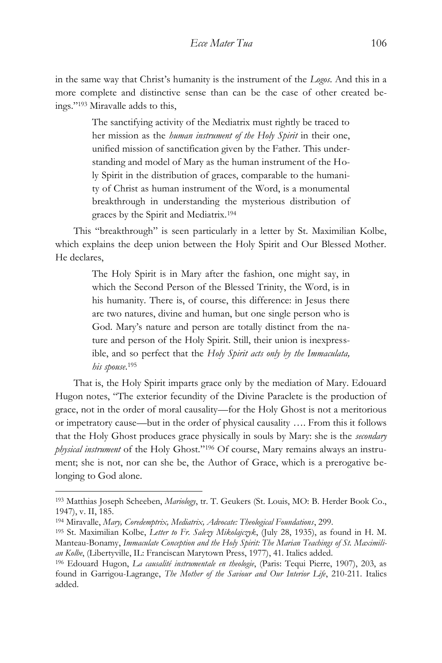in the same way that Christ's humanity is the instrument of the *Logos*. And this in a more complete and distinctive sense than can be the case of other created beings." <sup>193</sup> Miravalle adds to this,

> The sanctifying activity of the Mediatrix must rightly be traced to her mission as the *human instrument of the Holy Spirit* in their one, unified mission of sanctification given by the Father. This understanding and model of Mary as the human instrument of the Holy Spirit in the distribution of graces, comparable to the humanity of Christ as human instrument of the Word, is a monumental breakthrough in understanding the mysterious distribution of graces by the Spirit and Mediatrix.<sup>194</sup>

This "breakthrough" is seen particularly in a letter by St. Maximilian Kolbe, which explains the deep union between the Holy Spirit and Our Blessed Mother. He declares,

> The Holy Spirit is in Mary after the fashion, one might say, in which the Second Person of the Blessed Trinity, the Word, is in his humanity. There is, of course, this difference: in Jesus there are two natures, divine and human, but one single person who is God. Mary's nature and person are totally distinct from the nature and person of the Holy Spirit. Still, their union is inexpressible, and so perfect that the *Holy Spirit acts only by the Immaculata, his spouse*. 195

That is, the Holy Spirit imparts grace only by the mediation of Mary. Edouard Hugon notes, "The exterior fecundity of the Divine Paraclete is the production of grace, not in the order of moral causality—for the Holy Ghost is not a meritorious or impetratory cause—but in the order of physical causality …. From this it follows that the Holy Ghost produces grace physically in souls by Mary: she is the *secondary physical instrument* of the Holy Ghost." <sup>196</sup> Of course, Mary remains always an instrument; she is not, nor can she be, the Author of Grace, which is a prerogative belonging to God alone.

<sup>193</sup> Matthias Joseph Scheeben, *Mariology*, tr. T. Geukers (St. Louis, MO: B. Herder Book Co., 1947), v. II, 185.

<sup>194</sup> Miravalle, *Mary, Coredemptrix, Mediatrix, Advocate: Theological Foundations*, 299.

<sup>195</sup> St. Maximilian Kolbe, *Letter to Fr. Salezy Mikolajczyk*, (July 28, 1935), as found in H. M. Manteau-Bonamy, *Immaculate Conception and the Holy Spirit: The Marian Teachings of St. Maximilian Kolbe*, (Libertyville, IL: Franciscan Marytown Press, 1977), 41. Italics added.

<sup>196</sup> Edouard Hugon, *La causalité instrumentale en theologie*, (Paris: Tequi Pierre, 1907), 203, as found in Garrigou-Lagrange, *The Mother of the Saviour and Our Interior Life*, 210-211. Italics added.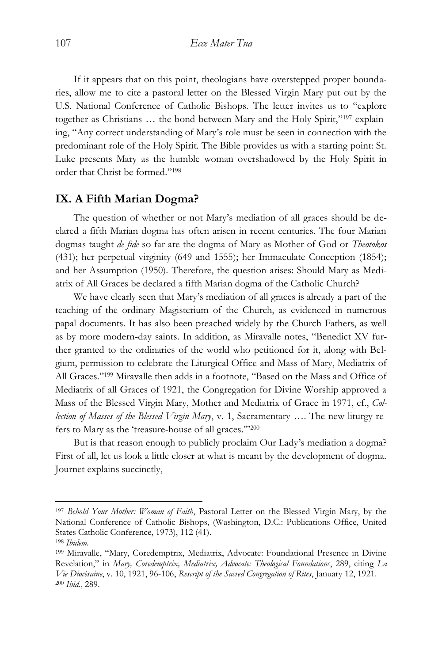If it appears that on this point, theologians have overstepped proper boundaries, allow me to cite a pastoral letter on the Blessed Virgin Mary put out by the U.S. National Conference of Catholic Bishops. The letter invites us to "explore together as Christians ... the bond between Mary and the Holy Spirit,"<sup>197</sup> explaining, "Any correct understanding of Mary's role must be seen in connection with the predominant role of the Holy Spirit. The Bible provides us with a starting point: St. Luke presents Mary as the humble woman overshadowed by the Holy Spirit in order that Christ be formed." 198

#### **IX. A Fifth Marian Dogma?**

The question of whether or not Mary's mediation of all graces should be declared a fifth Marian dogma has often arisen in recent centuries. The four Marian dogmas taught *de fide* so far are the dogma of Mary as Mother of God or *Theotokos* (431); her perpetual virginity (649 and 1555); her Immaculate Conception (1854); and her Assumption (1950). Therefore, the question arises: Should Mary as Mediatrix of All Graces be declared a fifth Marian dogma of the Catholic Church?

We have clearly seen that Mary's mediation of all graces is already a part of the teaching of the ordinary Magisterium of the Church, as evidenced in numerous papal documents. It has also been preached widely by the Church Fathers, as well as by more modern-day saints. In addition, as Miravalle notes, "Benedict XV further granted to the ordinaries of the world who petitioned for it, along with Belgium, permission to celebrate the Liturgical Office and Mass of Mary, Mediatrix of All Graces." <sup>199</sup> Miravalle then adds in a footnote, "Based on the Mass and Office of Mediatrix of all Graces of 1921, the Congregation for Divine Worship approved a Mass of the Blessed Virgin Mary, Mother and Mediatrix of Grace in 1971, cf., *Collection of Masses of the Blessed Virgin Mary*, v. 1, Sacramentary …. The new liturgy refers to Mary as the 'treasure-house of all graces."'200

But is that reason enough to publicly proclaim Our Lady's mediation a dogma? First of all, let us look a little closer at what is meant by the development of dogma. Journet explains succinctly,

<sup>197</sup> *Behold Your Mother: Woman of Faith*, Pastoral Letter on the Blessed Virgin Mary, by the National Conference of Catholic Bishops, (Washington, D.C.: Publications Office, United States Catholic Conference, 1973), 112 (41).

<sup>198</sup> *Ibidem.*

<sup>199</sup> Miravalle, "Mary, Coredemptrix, Mediatrix, Advocate: Foundational Presence in Divine Revelation," in *Mary, Coredemptrix, Mediatrix, Advocate: Theological Foundations*, 289, citing *La Vie Diocèsaine*, v. 10, 1921, 96-106, *Rescript of the Sacred Congregation of Rites*, January 12, 1921. <sup>200</sup> *Ibid.*, 289.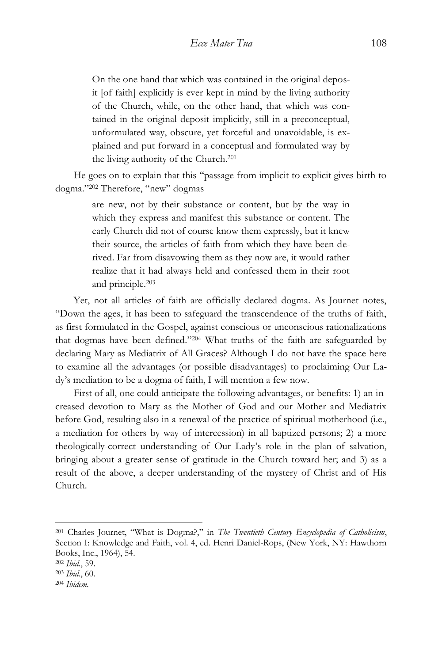On the one hand that which was contained in the original deposit [of faith] explicitly is ever kept in mind by the living authority of the Church, while, on the other hand, that which was contained in the original deposit implicitly, still in a preconceptual, unformulated way, obscure, yet forceful and unavoidable, is explained and put forward in a conceptual and formulated way by the living authority of the Church.<sup>201</sup>

He goes on to explain that this "passage from implicit to explicit gives birth to dogma." <sup>202</sup> Therefore, "new" dogmas

> are new, not by their substance or content, but by the way in which they express and manifest this substance or content. The early Church did not of course know them expressly, but it knew their source, the articles of faith from which they have been derived. Far from disavowing them as they now are, it would rather realize that it had always held and confessed them in their root and principle.<sup>203</sup>

Yet, not all articles of faith are officially declared dogma. As Journet notes, "Down the ages, it has been to safeguard the transcendence of the truths of faith, as first formulated in the Gospel, against conscious or unconscious rationalizations that dogmas have been defined." <sup>204</sup> What truths of the faith are safeguarded by declaring Mary as Mediatrix of All Graces? Although I do not have the space here to examine all the advantages (or possible disadvantages) to proclaiming Our Lady's mediation to be a dogma of faith, I will mention a few now.

First of all, one could anticipate the following advantages, or benefits: 1) an increased devotion to Mary as the Mother of God and our Mother and Mediatrix before God, resulting also in a renewal of the practice of spiritual motherhood (i.e., a mediation for others by way of intercession) in all baptized persons; 2) a more theologically-correct understanding of Our Lady's role in the plan of salvation, bringing about a greater sense of gratitude in the Church toward her; and 3) as a result of the above, a deeper understanding of the mystery of Christ and of His Church.

<sup>201</sup> Charles Journet, "What is Dogma?," in *The Twentieth Century Encyclopedia of Catholicism*, Section I: Knowledge and Faith, vol. 4, ed. Henri Daniel-Rops, (New York, NY: Hawthorn Books, Inc., 1964), 54.

<sup>202</sup> *Ibid.*, 59.

<sup>203</sup> *Ibid.*, 60.

<sup>204</sup> *Ibidem.*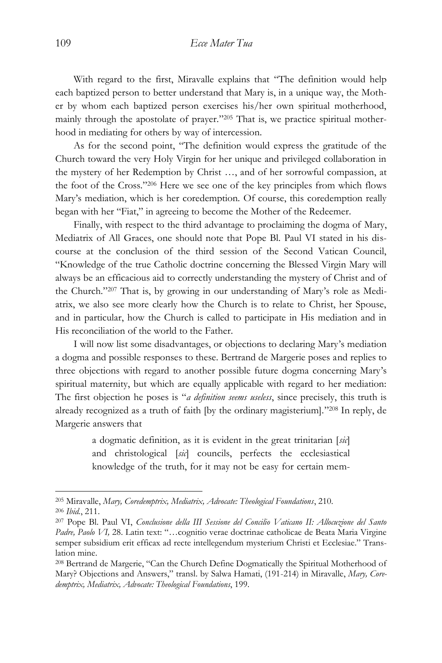With regard to the first, Miravalle explains that "The definition would help each baptized person to better understand that Mary is, in a unique way, the Mother by whom each baptized person exercises his/her own spiritual motherhood, mainly through the apostolate of prayer." <sup>205</sup> That is, we practice spiritual motherhood in mediating for others by way of intercession.

As for the second point, "The definition would express the gratitude of the Church toward the very Holy Virgin for her unique and privileged collaboration in the mystery of her Redemption by Christ …, and of her sorrowful compassion, at the foot of the Cross." <sup>206</sup> Here we see one of the key principles from which flows Mary's mediation, which is her coredemption. Of course, this coredemption really began with her "Fiat," in agreeing to become the Mother of the Redeemer.

Finally, with respect to the third advantage to proclaiming the dogma of Mary, Mediatrix of All Graces, one should note that Pope Bl. Paul VI stated in his discourse at the conclusion of the third session of the Second Vatican Council, "Knowledge of the true Catholic doctrine concerning the Blessed Virgin Mary will always be an efficacious aid to correctly understanding the mystery of Christ and of the Church." <sup>207</sup> That is, by growing in our understanding of Mary's role as Mediatrix, we also see more clearly how the Church is to relate to Christ, her Spouse, and in particular, how the Church is called to participate in His mediation and in His reconciliation of the world to the Father.

I will now list some disadvantages, or objections to declaring Mary's mediation a dogma and possible responses to these. Bertrand de Margerie poses and replies to three objections with regard to another possible future dogma concerning Mary's spiritual maternity, but which are equally applicable with regard to her mediation: The first objection he poses is "*a definition seems useless*, since precisely, this truth is already recognized as a truth of faith [by the ordinary magisterium]." <sup>208</sup> In reply, de Margerie answers that

> a dogmatic definition, as it is evident in the great trinitarian [*sic*] and christological [*sic*] councils, perfects the ecclesiastical knowledge of the truth, for it may not be easy for certain mem-

<sup>205</sup> Miravalle, *Mary, Coredemptrix, Mediatrix, Advocate: Theological Foundations*, 210. <sup>206</sup> *Ibid.*, 211.

<sup>207</sup> Pope Bl. Paul VI, *Conclusione della III Sessione del Concilio Vaticano II: Allocuzione del Santo Padre, Paolo VI,* 28. Latin text: "…cognitio verae doctrinae catholicae de Beata Maria Virgine semper subsidium erit efficax ad recte intellegendum mysterium Christi et Ecclesiae." Translation mine.

<sup>208</sup> Bertrand de Margerie, "Can the Church Define Dogmatically the Spiritual Motherhood of Mary? Objections and Answers," transl. by Salwa Hamati, (191-214) in Miravalle, *Mary, Coredemptrix, Mediatrix, Advocate: Theological Foundations*, 199.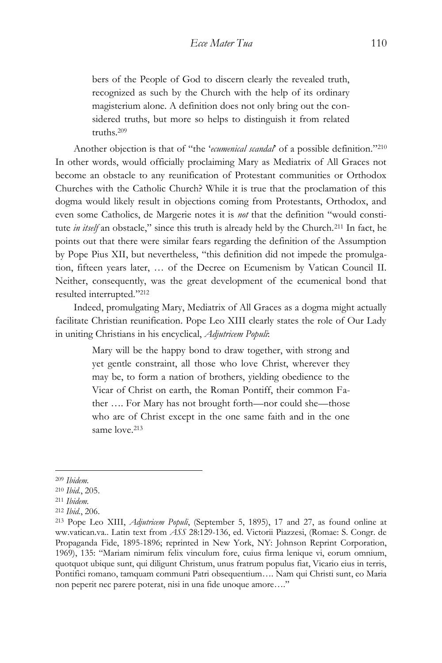bers of the People of God to discern clearly the revealed truth, recognized as such by the Church with the help of its ordinary magisterium alone. A definition does not only bring out the considered truths, but more so helps to distinguish it from related truths.<sup>209</sup>

Another objection is that of "the '*ecumenical scandal*' of a possible definition." 210 In other words, would officially proclaiming Mary as Mediatrix of All Graces not become an obstacle to any reunification of Protestant communities or Orthodox Churches with the Catholic Church? While it is true that the proclamation of this dogma would likely result in objections coming from Protestants, Orthodox, and even some Catholics, de Margerie notes it is *not* that the definition "would constitute *in itself* an obstacle," since this truth is already held by the Church.<sup>211</sup> In fact, he points out that there were similar fears regarding the definition of the Assumption by Pope Pius XII, but nevertheless, "this definition did not impede the promulgation, fifteen years later, … of the Decree on Ecumenism by Vatican Council II. Neither, consequently, was the great development of the ecumenical bond that resulted interrupted." 212

Indeed, promulgating Mary, Mediatrix of All Graces as a dogma might actually facilitate Christian reunification. Pope Leo XIII clearly states the role of Our Lady in uniting Christians in his encyclical, *Adjutricem Populi*:

> Mary will be the happy bond to draw together, with strong and yet gentle constraint, all those who love Christ, wherever they may be, to form a nation of brothers, yielding obedience to the Vicar of Christ on earth, the Roman Pontiff, their common Father …. For Mary has not brought forth—nor could she—those who are of Christ except in the one same faith and in the one same love. 213

<sup>209</sup> *Ibidem.*

<sup>210</sup> *Ibid.*, 205.

<sup>211</sup> *Ibidem.*

<sup>212</sup> *Ibid.*, 206.

<sup>213</sup> Pope Leo XIII, *Adjutricem Populi*, (September 5, 1895), 17 and 27, as found online at ww.vatican.va.. Latin text from *ASS* 28:129-136, ed. Victorii Piazzesi, (Romae: S. Congr. de Propaganda Fide, 1895-1896; reprinted in New York, NY: Johnson Reprint Corporation, 1969), 135: "Mariam nimirum felix vinculum fore, cuius firma lenique vi, eorum omnium, quotquot ubique sunt, qui diligunt Christum, unus fratrum populus fiat, Vicario eius in terris, Pontifici romano, tamquam communi Patri obsequentium…. Nam qui Christi sunt, eo Maria non peperit nec parere poterat, nisi in una fide unoque amore…."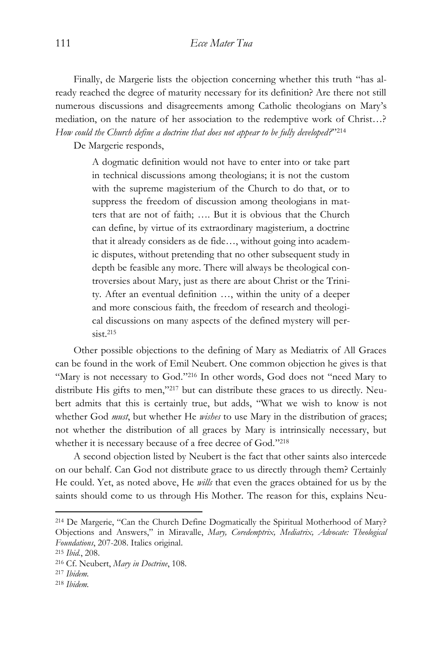Finally, de Margerie lists the objection concerning whether this truth "has already reached the degree of maturity necessary for its definition? Are there not still numerous discussions and disagreements among Catholic theologians on Mary's mediation, on the nature of her association to the redemptive work of Christ…? *How could the Church define a doctrine that does not appear to be fully developed?*" 214

De Margerie responds,

A dogmatic definition would not have to enter into or take part in technical discussions among theologians; it is not the custom with the supreme magisterium of the Church to do that, or to suppress the freedom of discussion among theologians in matters that are not of faith; …. But it is obvious that the Church can define, by virtue of its extraordinary magisterium, a doctrine that it already considers as de fide…, without going into academic disputes, without pretending that no other subsequent study in depth be feasible any more. There will always be theological controversies about Mary, just as there are about Christ or the Trinity. After an eventual definition …, within the unity of a deeper and more conscious faith, the freedom of research and theological discussions on many aspects of the defined mystery will per $sist.215$ 

Other possible objections to the defining of Mary as Mediatrix of All Graces can be found in the work of Emil Neubert. One common objection he gives is that "Mary is not necessary to God."<sup>216</sup> In other words, God does not "need Mary to distribute His gifts to men," <sup>217</sup> but can distribute these graces to us directly. Neubert admits that this is certainly true, but adds, "What we wish to know is not whether God *must*, but whether He *wishes* to use Mary in the distribution of graces; not whether the distribution of all graces by Mary is intrinsically necessary, but whether it is necessary because of a free decree of God." 218

A second objection listed by Neubert is the fact that other saints also intercede on our behalf. Can God not distribute grace to us directly through them? Certainly He could. Yet, as noted above, He *wills* that even the graces obtained for us by the saints should come to us through His Mother. The reason for this, explains Neu-

<sup>214</sup> De Margerie, "Can the Church Define Dogmatically the Spiritual Motherhood of Mary? Objections and Answers," in Miravalle, *Mary, Coredemptrix, Mediatrix, Advocate: Theological Foundations*, 207-208. Italics original.

<sup>215</sup> *Ibid.*, 208.

<sup>216</sup> Cf. Neubert, *Mary in Doctrine*, 108.

<sup>217</sup> *Ibidem.*

<sup>218</sup> *Ibidem.*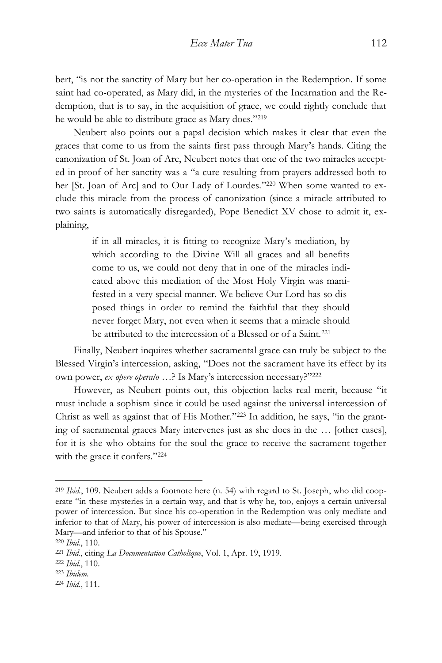bert, "is not the sanctity of Mary but her co-operation in the Redemption. If some saint had co-operated, as Mary did, in the mysteries of the Incarnation and the Redemption, that is to say, in the acquisition of grace, we could rightly conclude that he would be able to distribute grace as Mary does." 219

Neubert also points out a papal decision which makes it clear that even the graces that come to us from the saints first pass through Mary's hands. Citing the canonization of St. Joan of Arc, Neubert notes that one of the two miracles accepted in proof of her sanctity was a "a cure resulting from prayers addressed both to her [St. Joan of Arc] and to Our Lady of Lourdes." <sup>220</sup> When some wanted to exclude this miracle from the process of canonization (since a miracle attributed to two saints is automatically disregarded), Pope Benedict XV chose to admit it, explaining,

> if in all miracles, it is fitting to recognize Mary's mediation, by which according to the Divine Will all graces and all benefits come to us, we could not deny that in one of the miracles indicated above this mediation of the Most Holy Virgin was manifested in a very special manner. We believe Our Lord has so disposed things in order to remind the faithful that they should never forget Mary, not even when it seems that a miracle should be attributed to the intercession of a Blessed or of a Saint.<sup>221</sup>

Finally, Neubert inquires whether sacramental grace can truly be subject to the Blessed Virgin's intercession, asking, "Does not the sacrament have its effect by its own power, *ex opere operato* …? Is Mary's intercession necessary?" 222

However, as Neubert points out, this objection lacks real merit, because "it must include a sophism since it could be used against the universal intercession of Christ as well as against that of His Mother." <sup>223</sup> In addition, he says, "in the granting of sacramental graces Mary intervenes just as she does in the … [other cases], for it is she who obtains for the soul the grace to receive the sacrament together with the grace it confers." 224

<sup>219</sup> *Ibid.*, 109. Neubert adds a footnote here (n. 54) with regard to St. Joseph, who did cooperate "in these mysteries in a certain way, and that is why he, too, enjoys a certain universal power of intercession. But since his co-operation in the Redemption was only mediate and inferior to that of Mary, his power of intercession is also mediate—being exercised through Mary—and inferior to that of his Spouse."

<sup>220</sup> *Ibid.*, 110.

<sup>221</sup> *Ibid.*, citing *La Documentation Catholique*, Vol. 1, Apr. 19, 1919.

<sup>222</sup> *Ibid.*, 110.

<sup>223</sup> *Ibidem.*

<sup>224</sup> *Ibid.*, 111.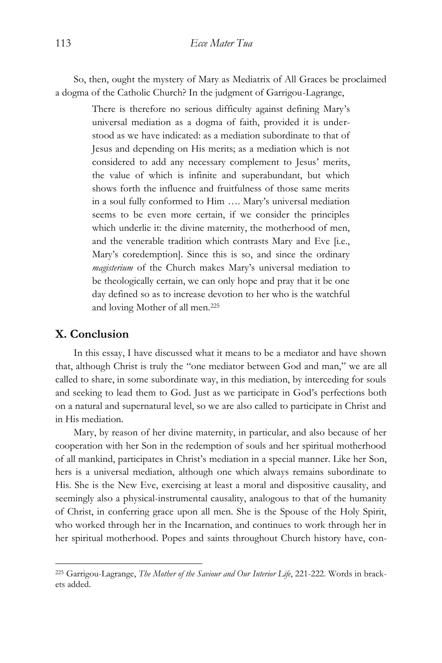So, then, ought the mystery of Mary as Mediatrix of All Graces be proclaimed a dogma of the Catholic Church? In the judgment of Garrigou-Lagrange,

> There is therefore no serious difficulty against defining Mary's universal mediation as a dogma of faith, provided it is understood as we have indicated: as a mediation subordinate to that of Jesus and depending on His merits; as a mediation which is not considered to add any necessary complement to Jesus' merits, the value of which is infinite and superabundant, but which shows forth the influence and fruitfulness of those same merits in a soul fully conformed to Him …. Mary's universal mediation seems to be even more certain, if we consider the principles which underlie it: the divine maternity, the motherhood of men, and the venerable tradition which contrasts Mary and Eve [i.e., Mary's coredemption]. Since this is so, and since the ordinary *magisterium* of the Church makes Mary's universal mediation to be theologically certain, we can only hope and pray that it be one day defined so as to increase devotion to her who is the watchful and loving Mother of all men.<sup>225</sup>

## **X. Conclusion**

 $\overline{a}$ 

In this essay, I have discussed what it means to be a mediator and have shown that, although Christ is truly the "one mediator between God and man," we are all called to share, in some subordinate way, in this mediation, by interceding for souls and seeking to lead them to God. Just as we participate in God's perfections both on a natural and supernatural level, so we are also called to participate in Christ and in His mediation.

Mary, by reason of her divine maternity, in particular, and also because of her cooperation with her Son in the redemption of souls and her spiritual motherhood of all mankind, participates in Christ's mediation in a special manner. Like her Son, hers is a universal mediation, although one which always remains subordinate to His. She is the New Eve, exercising at least a moral and dispositive causality, and seemingly also a physical-instrumental causality, analogous to that of the humanity of Christ, in conferring grace upon all men. She is the Spouse of the Holy Spirit, who worked through her in the Incarnation, and continues to work through her in her spiritual motherhood. Popes and saints throughout Church history have, con-

<sup>225</sup> Garrigou-Lagrange, *The Mother of the Saviour and Our Interior Life*, 221-222. Words in brackets added.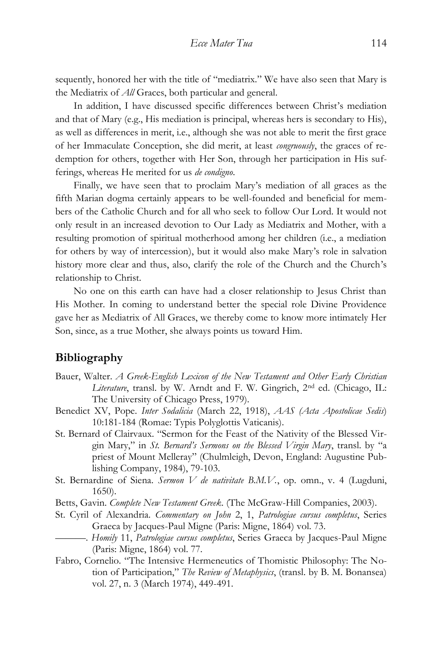sequently, honored her with the title of "mediatrix." We have also seen that Mary is the Mediatrix of *All* Graces, both particular and general.

In addition, I have discussed specific differences between Christ's mediation and that of Mary (e.g., His mediation is principal, whereas hers is secondary to His), as well as differences in merit, i.e., although she was not able to merit the first grace of her Immaculate Conception, she did merit, at least *congruously*, the graces of redemption for others, together with Her Son, through her participation in His sufferings, whereas He merited for us *de condigno*.

Finally, we have seen that to proclaim Mary's mediation of all graces as the fifth Marian dogma certainly appears to be well-founded and beneficial for members of the Catholic Church and for all who seek to follow Our Lord. It would not only result in an increased devotion to Our Lady as Mediatrix and Mother, with a resulting promotion of spiritual motherhood among her children (i.e., a mediation for others by way of intercession), but it would also make Mary's role in salvation history more clear and thus, also, clarify the role of the Church and the Church's relationship to Christ.

No one on this earth can have had a closer relationship to Jesus Christ than His Mother. In coming to understand better the special role Divine Providence gave her as Mediatrix of All Graces, we thereby come to know more intimately Her Son, since, as a true Mother, she always points us toward Him.

## **Bibliography**

- Bauer, Walter. *A Greek-English Lexicon of the New Testament and Other Early Christian Literature*, transl. by W. Arndt and F. W. Gingrich, 2nd ed. (Chicago, IL: The University of Chicago Press, 1979).
- Benedict XV, Pope. *Inter Sodalicia* (March 22, 1918), *AAS (Acta Apostolicae Sedis*) 10:181-184 (Romae: Typis Polyglottis Vaticanis).
- St. Bernard of Clairvaux. "Sermon for the Feast of the Nativity of the Blessed Virgin Mary," in *St. Bernard's Sermons on the Blessed Virgin Mary*, transl. by "a priest of Mount Melleray" (Chulmleigh, Devon, England: Augustine Publishing Company, 1984), 79-103.
- St. Bernardine of Siena. *Sermon V de nativitate B.M.V.*, op. omn., v. 4 (Lugduni, 1650).
- Betts, Gavin. *Complete New Testament Greek*. (The McGraw-Hill Companies, 2003).
- St. Cyril of Alexandria. *Commentary on John* 2, 1, *Patrologiae cursus completus*, Series Graeca by Jacques-Paul Migne (Paris: Migne, 1864) vol. 73.
	- ———. *Homily* 11, *Patrologiae cursus completus*, Series Graeca by Jacques-Paul Migne (Paris: Migne, 1864) vol. 77.
- Fabro, Cornelio. "The Intensive Hermeneutics of Thomistic Philosophy: The Notion of Participation," *The Review of Metaphysics*, (transl. by B. M. Bonansea) vol. 27, n. 3 (March 1974), 449-491.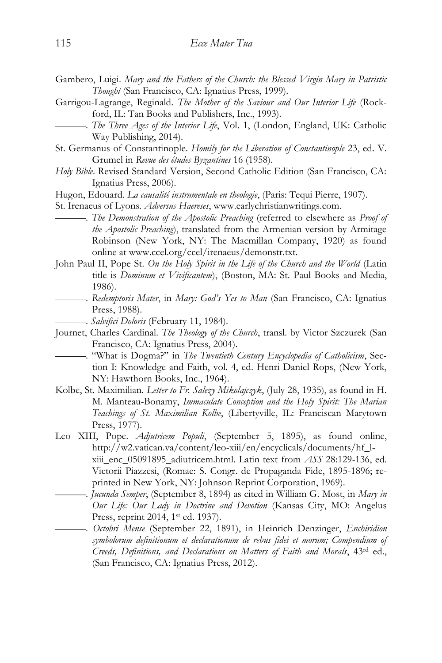- Gambero, Luigi. *Mary and the Fathers of the Church: the Blessed Virgin Mary in Patristic Thought* (San Francisco, CA: Ignatius Press, 1999).
- Garrigou-Lagrange, Reginald. *The Mother of the Saviour and Our Interior Life* (Rockford, IL: Tan Books and Publishers, Inc., 1993).
- ———. *The Three Ages of the Interior Life*, Vol. 1, (London, England, UK: Catholic Way Publishing, 2014).
- St. Germanus of Constantinople. *Homily for the Liberation of Constantinople* 23, ed. V. Grumel in *Revue des études Byzantines* 16 (1958).
- *Holy Bible*. Revised Standard Version, Second Catholic Edition (San Francisco, CA: Ignatius Press, 2006).
- Hugon, Edouard. *La causalité instrumentale en theologie*, (Paris: Tequi Pierre, 1907).
- St. Irenaeus of Lyons. *Adversus Haereses*, www.earlychristianwritings.com.
	- ——. *The Demonstration of the Apostolic Preaching* (referred to elsewhere as *Proof of the Apostolic Preaching*), translated from the Armenian version by Armitage Robinson (New York, NY: The Macmillan Company, 1920) as found online at www.ccel.org/ccel/irenaeus/demonstr.txt.
- John Paul II, Pope St. *On the Holy Spirit in the Life of the Church and the World* (Latin title is *Dominum et Vivificantem*), (Boston, MA: St. Paul Books and Media, 1986).
	- ———. *Redemptoris Mater*, in *Mary: God's Yes to Man* (San Francisco, CA: Ignatius Press, 1988).
	- ———. *Salvifici Doloris* (February 11, 1984).
- Journet, Charles Cardinal. *The Theology of the Church*, transl. by Victor Szczurek (San Francisco, CA: Ignatius Press, 2004).
- ———. "What is Dogma?" in *The Twentieth Century Encyclopedia of Catholicism*, Section I: Knowledge and Faith, vol. 4, ed. Henri Daniel-Rops, (New York, NY: Hawthorn Books, Inc., 1964).
- Kolbe, St. Maximilian. *Letter to Fr. Salezy Mikolajczyk*, (July 28, 1935), as found in H. M. Manteau-Bonamy, *Immaculate Conception and the Holy Spirit: The Marian Teachings of St. Maximilian Kolbe*, (Libertyville, IL: Franciscan Marytown Press, 1977).
- Leo XIII, Pope. *Adjutricem Populi*, (September 5, 1895), as found online, http://w2.vatican.va/content/leo-xiii/en/encyclicals/documents/hf\_lxiii\_enc\_05091895\_adiutricem.html. Latin text from *ASS* 28:129-136, ed. Victorii Piazzesi, (Romae: S. Congr. de Propaganda Fide, 1895-1896; reprinted in New York, NY: Johnson Reprint Corporation, 1969).
	- ———. *Jucunda Semper*, (September 8, 1894) as cited in William G. Most, in *Mary in Our Life: Our Lady in Doctrine and Devotion* (Kansas City, MO: Angelus Press, reprint 2014, 1<sup>st</sup> ed. 1937).
		- ———. *Octobri Mense* (September 22, 1891), in Heinrich Denzinger, *Enchiridion symbolorum definitionum et declarationum de rebus fidei et morum; Compendium of Creeds, Definitions, and Declarations on Matters of Faith and Morals*, 43rd ed., (San Francisco, CA: Ignatius Press, 2012).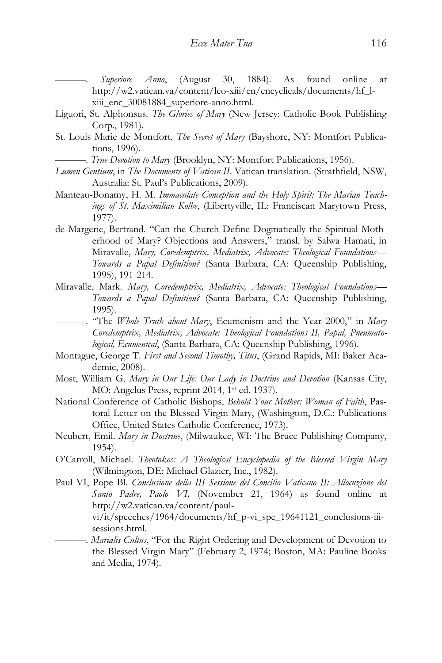———. *Superiore Anno*, (August 30, 1884). As found online at http://w2.vatican.va/content/leo-xiii/en/encyclicals/documents/hf\_lxiii enc 30081884 superiore-anno.html.

- Liguori, St. Alphonsus. *The Glories of Mary* (New Jersey: Catholic Book Publishing Corp., 1981).
- St. Louis Marie de Montfort. *The Secret of Mary* (Bayshore, NY: Montfort Publications, 1996).
	- ———. *True Devotion to Mary* (Brooklyn, NY: Montfort Publications, 1956).
- *Lumen Gentium*, in *The Documents of Vatican II*. Vatican translation. (Strathfield, NSW, Australia: St. Paul's Publications, 2009).
- Manteau-Bonamy, H. M. *Immaculate Conception and the Holy Spirit: The Marian Teachings of St. Maximilian Kolbe*, (Libertyville, IL: Franciscan Marytown Press, 1977).
- de Margerie, Bertrand. "Can the Church Define Dogmatically the Spiritual Motherhood of Mary? Objections and Answers," transl. by Salwa Hamati, in Miravalle, *Mary, Coredemptrix, Mediatrix, Advocate: Theological Foundations— Towards a Papal Definition?* (Santa Barbara, CA: Queenship Publishing, 1995), 191-214.
- Miravalle, Mark. *Mary, Coredemptrix, Mediatrix, Advocate: Theological Foundations— Towards a Papal Definition?* (Santa Barbara, CA: Queenship Publishing, 1995).
	- ———. "The *Whole Truth about Mary*, Ecumenism and the Year 2000," in *Mary Coredemptrix, Mediatrix, Advocate: Theological Foundations II, Papal, Pneumatological, Ecumenical*, (Santa Barbara, CA: Queenship Publishing, 1996).
- Montague, George T. *First and Second Timothy, Titus*, (Grand Rapids, MI: Baker Academic, 2008).
- Most, William G. *Mary in Our Life: Our Lady in Doctrine and Devotion* (Kansas City, MO: Angelus Press, reprint 2014, 1<sup>st</sup> ed. 1937).
- National Conference of Catholic Bishops, *Behold Your Mother: Woman of Faith*, Pastoral Letter on the Blessed Virgin Mary, (Washington, D.C.: Publications Office, United States Catholic Conference, 1973).
- Neubert, Emil. *Mary in Doctrine*, (Milwaukee, WI: The Bruce Publishing Company, 1954).
- O'Carroll, Michael. *Theotokos: A Theological Encyclopedia of the Blessed Virgin Mary* (Wilmington, DE: Michael Glazier, Inc., 1982).
- Paul VI, Pope Bl. *Conclusione della III Sessione del Concilio Vaticano II: Allocuzione del Santo Padre, Paolo VI,* (November 21, 1964) as found online at http://w2.vatican.va/content/paul-

vi/it/speeches/1964/documents/hf\_p-vi\_spe\_19641121\_conclusions-iiisessions.html.

———. *Marialis Cultus*, "For the Right Ordering and Development of Devotion to the Blessed Virgin Mary" (February 2, 1974; Boston, MA: Pauline Books and Media, 1974).